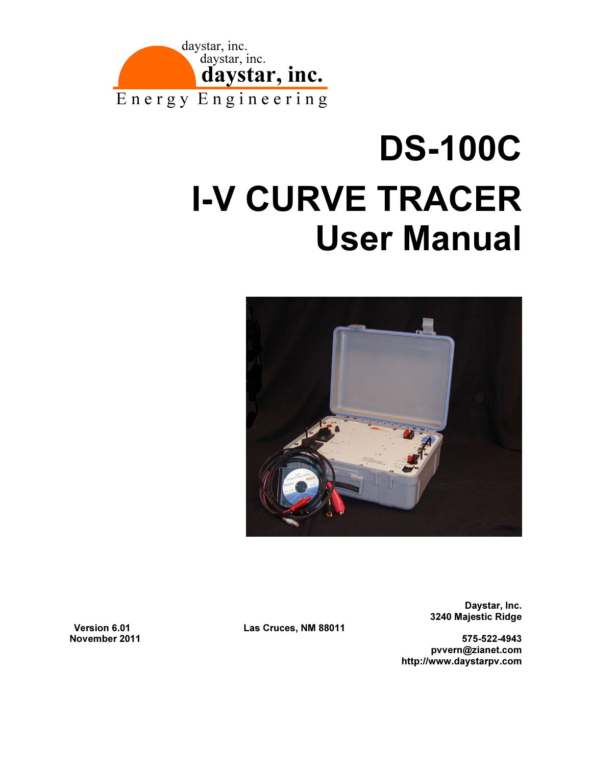

# DS-100C I-V CURVE TRACER User Manual



3240 Majestic Ridge

November 2011 575-522-4943 pvvern@zianet.com http://www.daystarpv.com

Daystar, Inc.

Version 6.01 Las Cruces, NM 88011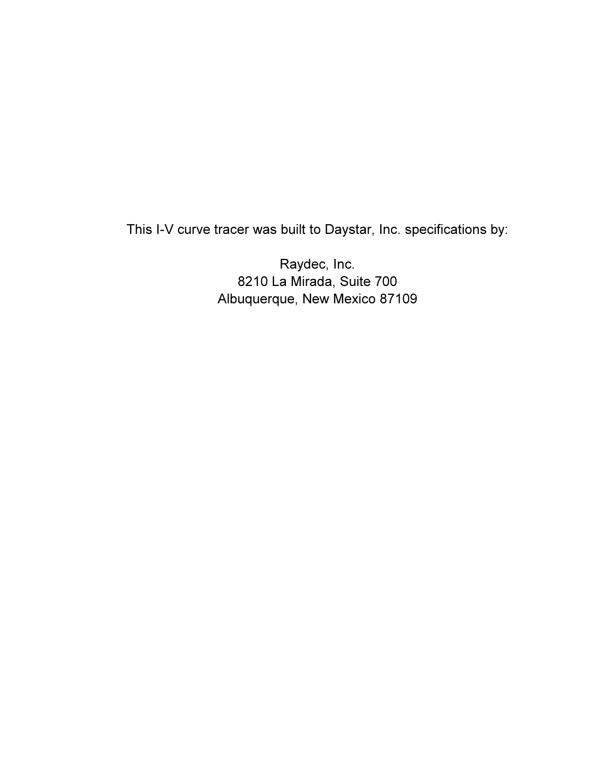This I-V curve tracer was built to Daystar, Inc. specifications by:

Raydec, Inc. 8210 La Mirada, Suite 700 Albuquerque, New Mexico 87109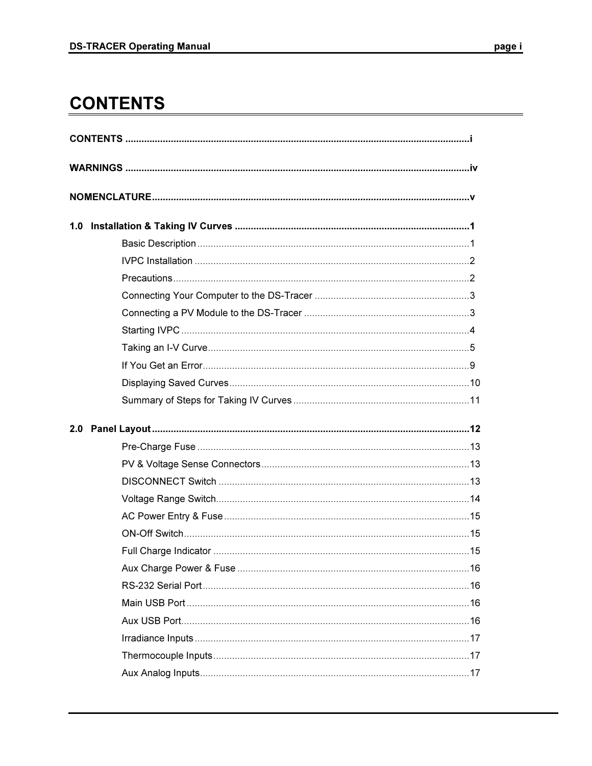## **CONTENTS**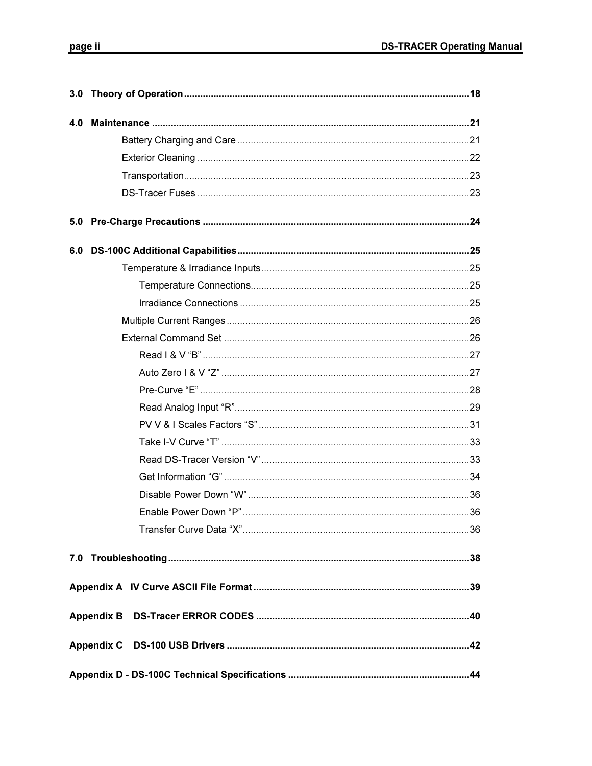| $\overline{\phantom{a}}$ |  |
|--------------------------|--|
|                          |  |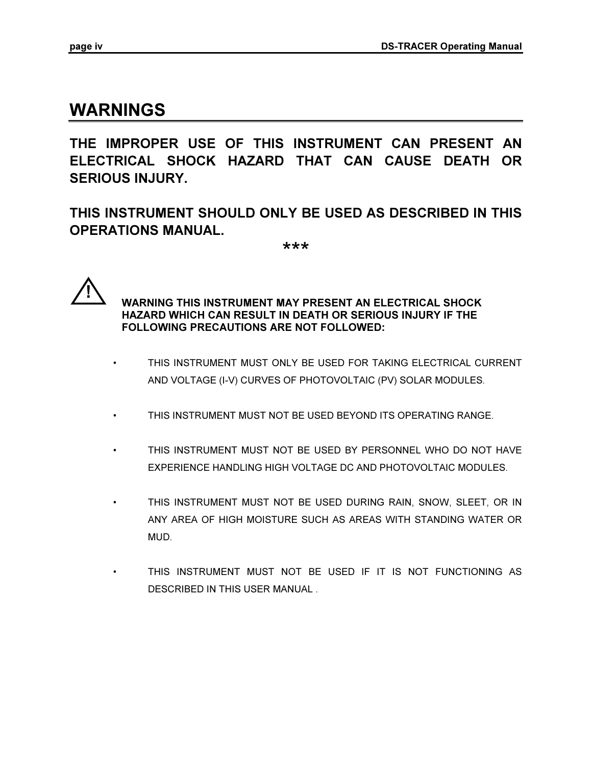## WARNINGS

THE IMPROPER USE OF THIS INSTRUMENT CAN PRESENT AN ELECTRICAL SHOCK HAZARD THAT CAN CAUSE DEATH OR SERIOUS INJURY.

THIS INSTRUMENT SHOULD ONLY BE USED AS DESCRIBED IN THIS OPERATIONS MANUAL.

\*\*\*



 WARNING THIS INSTRUMENT MAY PRESENT AN ELECTRICAL SHOCK HAZARD WHICH CAN RESULT IN DEATH OR SERIOUS INJURY IF THE FOLLOWING PRECAUTIONS ARE NOT FOLLOWED:

- THIS INSTRUMENT MUST ONLY BE USED FOR TAKING ELECTRICAL CURRENT AND VOLTAGE (I-V) CURVES OF PHOTOVOLTAIC (PV) SOLAR MODULES.
- THIS INSTRUMENT MUST NOT BE USED BEYOND ITS OPERATING RANGE.
- THIS INSTRUMENT MUST NOT BE USED BY PERSONNEL WHO DO NOT HAVE EXPERIENCE HANDLING HIGH VOLTAGE DC AND PHOTOVOLTAIC MODULES.
- THIS INSTRUMENT MUST NOT BE USED DURING RAIN, SNOW, SLEET, OR IN ANY AREA OF HIGH MOISTURE SUCH AS AREAS WITH STANDING WATER OR MUD.
- THIS INSTRUMENT MUST NOT BE USED IF IT IS NOT FUNCTIONING AS DESCRIBED IN THIS USER MANUAL .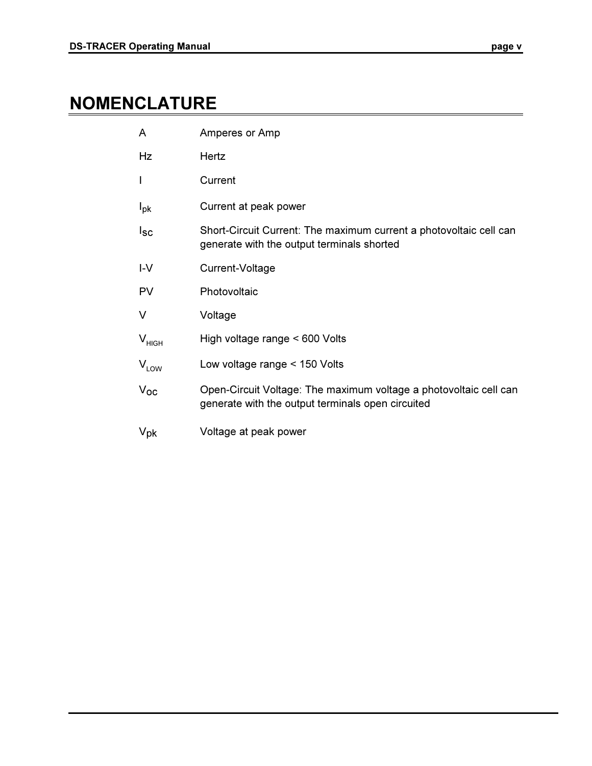## NOMENCLATURE

| A                 | Amperes or Amp                                                                                                         |
|-------------------|------------------------------------------------------------------------------------------------------------------------|
| Hz                | Hertz                                                                                                                  |
| I                 | Current                                                                                                                |
| $I_{\rm pk}$      | Current at peak power                                                                                                  |
| Isc               | Short-Circuit Current: The maximum current a photovoltaic cell can<br>generate with the output terminals shorted       |
| $I-V$             | Current-Voltage                                                                                                        |
| <b>PV</b>         | Photovoltaic                                                                                                           |
| V                 | Voltage                                                                                                                |
| V <sub>HIGH</sub> | High voltage range < 600 Volts                                                                                         |
| $V_{LOW}$         | Low voltage range < 150 Volts                                                                                          |
| $V_{OC}$          | Open-Circuit Voltage: The maximum voltage a photovoltaic cell can<br>generate with the output terminals open circuited |
| $V_{\text{pk}}$   | Voltage at peak power                                                                                                  |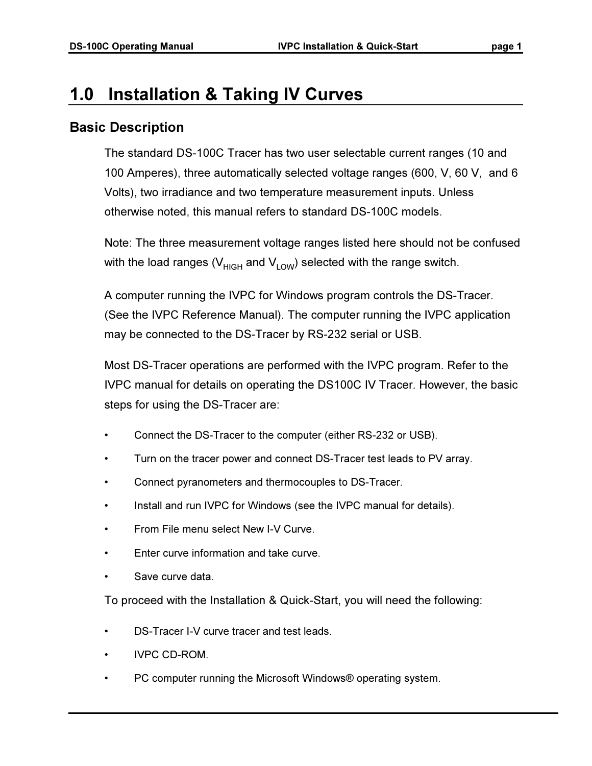## 1.0 Installation & Taking IV Curves

## Basic Description

The standard DS-100C Tracer has two user selectable current ranges (10 and 100 Amperes), three automatically selected voltage ranges (600, V, 60 V, and 6 Volts), two irradiance and two temperature measurement inputs. Unless otherwise noted, this manual refers to standard DS-100C models.

Note: The three measurement voltage ranges listed here should not be confused with the load ranges ( $V_{HIGH}$  and  $V_{LOW}$ ) selected with the range switch.

A computer running the IVPC for Windows program controls the DS-Tracer. (See the IVPC Reference Manual). The computer running the IVPC application may be connected to the DS-Tracer by RS-232 serial or USB.

Most DS-Tracer operations are performed with the IVPC program. Refer to the IVPC manual for details on operating the DS100C IV Tracer. However, the basic steps for using the DS-Tracer are:

- Connect the DS-Tracer to the computer (either RS-232 or USB).
- Turn on the tracer power and connect DS-Tracer test leads to PV array.
- Connect pyranometers and thermocouples to DS-Tracer.
- Install and run IVPC for Windows (see the IVPC manual for details).
- From File menu select New I-V Curve.
- Enter curve information and take curve.
- Save curve data.

To proceed with the Installation & Quick-Start, you will need the following:

- DS-Tracer I-V curve tracer and test leads.
- IVPC CD-ROM.
- PC computer running the Microsoft Windows® operating system.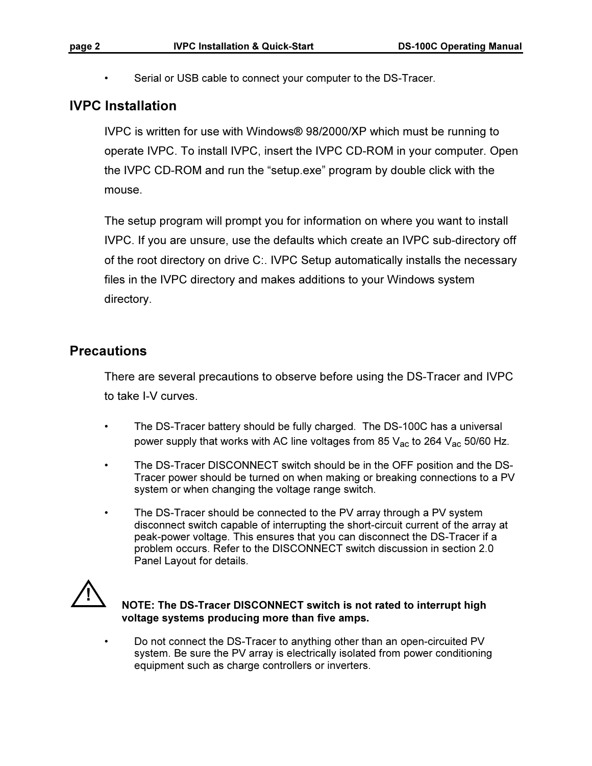• Serial or USB cable to connect your computer to the DS-Tracer.

## IVPC Installation

IVPC is written for use with Windows® 98/2000/XP which must be running to operate IVPC. To install IVPC, insert the IVPC CD-ROM in your computer. Open the IVPC CD-ROM and run the "setup.exe" program by double click with the mouse.

The setup program will prompt you for information on where you want to install IVPC. If you are unsure, use the defaults which create an IVPC sub-directory off of the root directory on drive C:. IVPC Setup automatically installs the necessary files in the IVPC directory and makes additions to your Windows system directory.

## **Precautions**

There are several precautions to observe before using the DS-Tracer and IVPC to take I-V curves.

- The DS-Tracer battery should be fully charged. The DS-100C has a universal power supply that works with AC line voltages from 85  $V_{AC}$  to 264  $V_{AC}$  50/60 Hz.
- The DS-Tracer DISCONNECT switch should be in the OFF position and the DS-Tracer power should be turned on when making or breaking connections to a PV system or when changing the voltage range switch.
- The DS-Tracer should be connected to the PV array through a PV system disconnect switch capable of interrupting the short-circuit current of the array at peak-power voltage. This ensures that you can disconnect the DS-Tracer if a problem occurs. Refer to the DISCONNECT switch discussion in section 2.0 Panel Layout for details.



#### NOTE: The DS-Tracer DISCONNECT switch is not rated to interrupt high voltage systems producing more than five amps.

• Do not connect the DS-Tracer to anything other than an open-circuited PV system. Be sure the PV array is electrically isolated from power conditioning equipment such as charge controllers or inverters.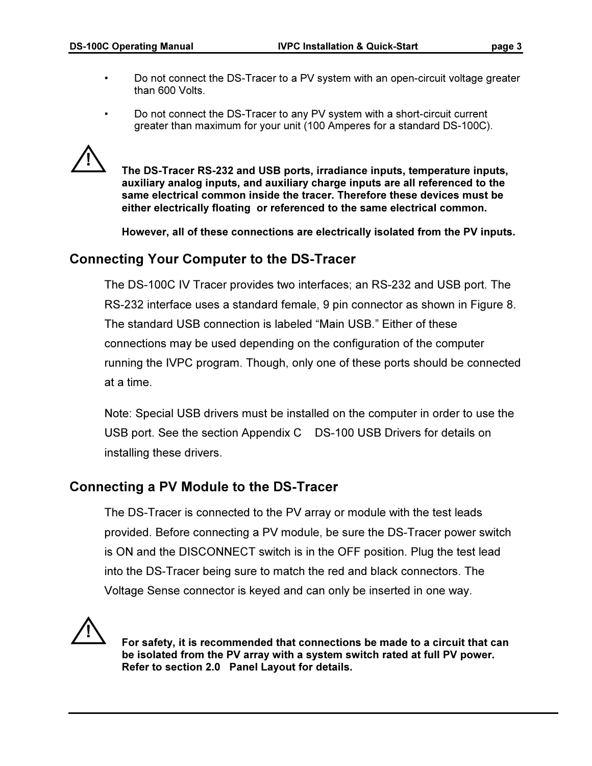- Do not connect the DS-Tracer to a PV system with an open-circuit voltage greater than 600 Volts.
- Do not connect the DS-Tracer to any PV system with a short-circuit current greater than maximum for your unit (100 Amperes for a standard DS-100C).



 The DS-Tracer RS-232 and USB ports, irradiance inputs, temperature inputs, auxiliary analog inputs, and auxiliary charge inputs are all referenced to the same electrical common inside the tracer. Therefore these devices must be either electrically floating or referenced to the same electrical common.

However, all of these connections are electrically isolated from the PV inputs.

## Connecting Your Computer to the DS-Tracer

The DS-100C IV Tracer provides two interfaces; an RS-232 and USB port. The RS-232 interface uses a standard female, 9 pin connector as shown in Figure 8. The standard USB connection is labeled "Main USB." Either of these connections may be used depending on the configuration of the computer running the IVPC program. Though, only one of these ports should be connected at a time.

Note: Special USB drivers must be installed on the computer in order to use the USB port. See the section Appendix C DS-100 USB Drivers for details on installing these drivers.

## Connecting a PV Module to the DS-Tracer

The DS-Tracer is connected to the PV array or module with the test leads provided. Before connecting a PV module, be sure the DS-Tracer power switch is ON and the DISCONNECT switch is in the OFF position. Plug the test lead into the DS-Tracer being sure to match the red and black connectors. The Voltage Sense connector is keyed and can only be inserted in one way.



 For safety, it is recommended that connections be made to a circuit that can be isolated from the PV array with a system switch rated at full PV power. Refer to section 2.0 Panel Layout for details.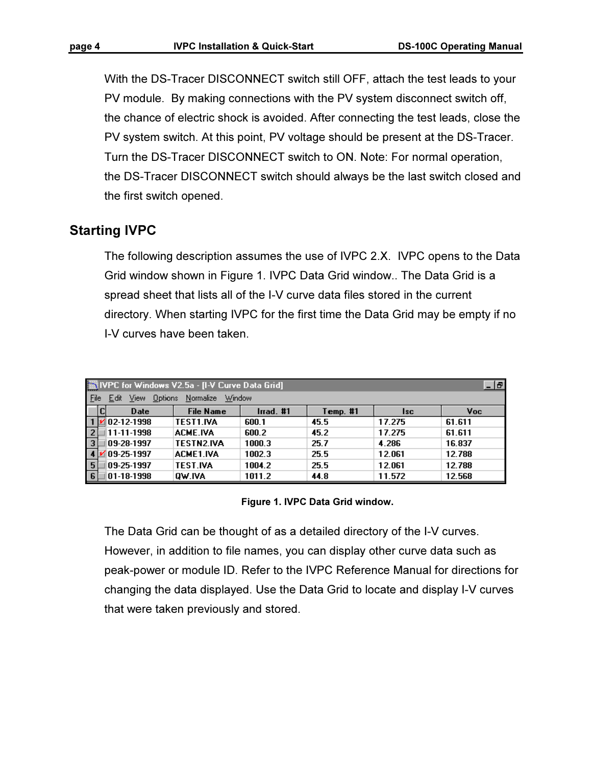With the DS-Tracer DISCONNECT switch still OFF, attach the test leads to your PV module. By making connections with the PV system disconnect switch off, the chance of electric shock is avoided. After connecting the test leads, close the PV system switch. At this point, PV voltage should be present at the DS-Tracer. Turn the DS-Tracer DISCONNECT switch to ON. Note: For normal operation, the DS-Tracer DISCONNECT switch should always be the last switch closed and the first switch opened.

## Starting IVPC

The following description assumes the use of IVPC 2.X. IVPC opens to the Data Grid window shown in Figure 1. IVPC Data Grid window.. The Data Grid is a spread sheet that lists all of the I-V curve data files stored in the current directory. When starting IVPC for the first time the Data Grid may be empty if no I-V curves have been taken.

|                             | NIVPC for Windows V2.5a - [I-V Curve Data Grid]<br>- 191 |           |          |            |        |  |  |  |  |  |
|-----------------------------|----------------------------------------------------------|-----------|----------|------------|--------|--|--|--|--|--|
| File<br><b>View</b><br>Edit | Normalize<br>Window<br>Options                           |           |          |            |        |  |  |  |  |  |
| <b>Date</b>                 | <b>File Name</b>                                         | Irrad. #1 | Temp. #1 | <b>Isc</b> | Voc.   |  |  |  |  |  |
| 102-12-1998                 | TEST1.IVA                                                | 600.1     | 45.5     | 17.275     | 61.611 |  |  |  |  |  |
| 11-11-1998                  | ACME.IVA                                                 | 600.2     | 45.2     | 17.275     | 61.611 |  |  |  |  |  |
| $\vert$ 3<br>09-28-1997     | <b>TESTN2.IVA</b>                                        | 1000.3    | 25.7     | 4.286      | 16.837 |  |  |  |  |  |
| 09-25-1997                  | <b>ACME1.IVA</b>                                         | 1002.3    | 25.5     | 12.061     | 12.788 |  |  |  |  |  |
| 09-25-1997<br>l 5           | TEST.IVA                                                 | 1004.2    | 25.5     | 12.061     | 12.788 |  |  |  |  |  |
| 01-18-1998                  | OW.IVA                                                   | 1011.2    | 44.8     | 11.572     | 12.568 |  |  |  |  |  |

Figure 1. IVPC Data Grid window.

The Data Grid can be thought of as a detailed directory of the I-V curves. However, in addition to file names, you can display other curve data such as peak-power or module ID. Refer to the IVPC Reference Manual for directions for changing the data displayed. Use the Data Grid to locate and display I-V curves that were taken previously and stored.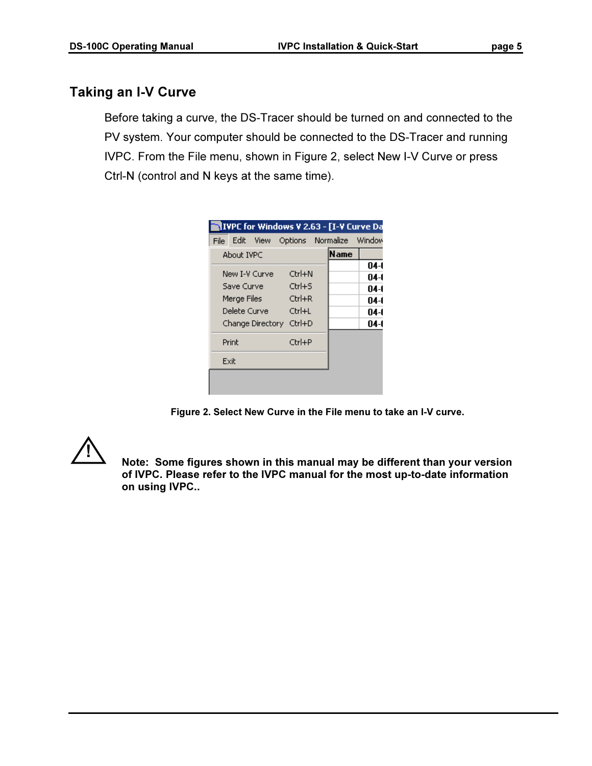## Taking an I-V Curve

Before taking a curve, the DS-Tracer should be turned on and connected to the PV system. Your computer should be connected to the DS-Tracer and running IVPC. From the File menu, shown in Figure 2, select New I-V Curve or press Ctrl-N (control and N keys at the same time).

|              |                | IVPC for Windows V 2.63 - [I-V Curve Da |             |        |
|--------------|----------------|-----------------------------------------|-------------|--------|
|              | File Edit View | Options Normalize Window                |             |        |
| About IVPC   |                |                                         | <b>Name</b> |        |
|              |                |                                         |             | $04-1$ |
|              | New I-V Curvel | $C$ trl $+N$                            |             | 04-1   |
| Save Curvel  |                | $C$ trl $+$ S                           |             | $04-1$ |
| Merge Files  |                | $Ctrl + R$                              |             | 04-1   |
| Delete Curve |                | Ctrl+L                                  |             | 04-1   |
|              |                | Change Directory Ctrl+D                 |             | 04-1   |
| Print        |                | Ctrl+P                                  |             |        |
| Exit         |                |                                         |             |        |
|              |                |                                         |             |        |
|              |                |                                         |             |        |

Figure 2. Select New Curve in the File menu to take an I-V curve.



 Note: Some figures shown in this manual may be different than your version of IVPC. Please refer to the IVPC manual for the most up-to-date information on using IVPC..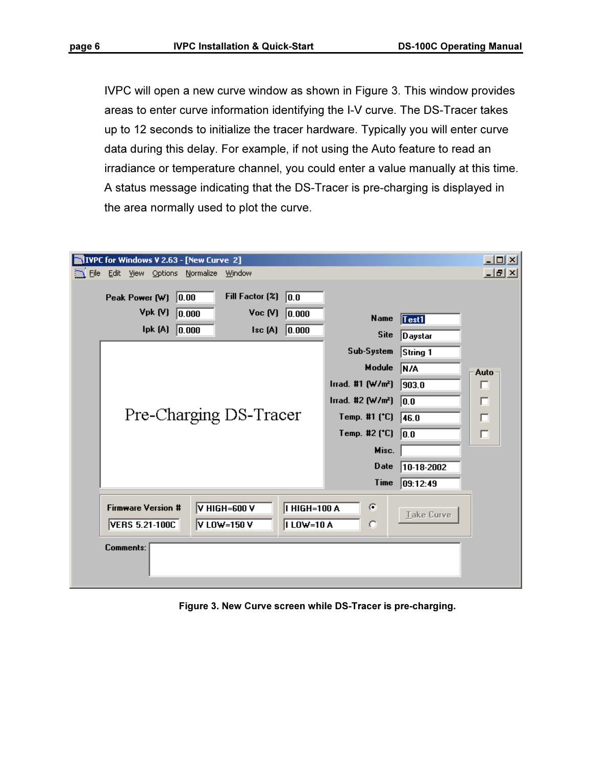IVPC will open a new curve window as shown in Figure 3. This window provides areas to enter curve information identifying the I-V curve. The DS-Tracer takes up to 12 seconds to initialize the tracer hardware. Typically you will enter curve data during this delay. For example, if not using the Auto feature to read an irradiance or temperature channel, you could enter a value manually at this time. A status message indicating that the DS-Tracer is pre-charging is displayed in the area normally used to plot the curve.

|  |                                                    |         | <b>NIVPC for Windows V 2.63 - [New Curve 2]</b> |                             |        |                               |                               |                  | $\Box$ ol $\times$ |
|--|----------------------------------------------------|---------|-------------------------------------------------|-----------------------------|--------|-------------------------------|-------------------------------|------------------|--------------------|
|  |                                                    |         | File Edit View Options Normalize                | Window                      |        |                               |                               |                  | 그피지                |
|  | Peak Power (W)                                     |         | 0.00                                            | Fill Factor (%)             |        | 0.0                           |                               |                  |                    |
|  |                                                    | Vpk (V) | 0.000                                           |                             | Voc(V) | 0.000                         | Name                          | Test1            |                    |
|  |                                                    | lpk (A) | 0.000                                           |                             | Isc(A) | 0.000                         | <b>Site</b>                   | Daystar          |                    |
|  |                                                    |         |                                                 |                             |        |                               | Sub-System                    | String 1         |                    |
|  |                                                    |         |                                                 |                             |        |                               | Module                        | N/A              | Auto               |
|  |                                                    |         |                                                 |                             |        |                               | $\ln ad.$ #1 $(W/m2)$         | 903.0            | п                  |
|  |                                                    |         |                                                 |                             |        |                               | Irrad. #2 (W/m <sup>2</sup> ) | $\overline{0.0}$ | п                  |
|  |                                                    |         |                                                 | Pre-Charging DS-Tracer      |        |                               | Temp. #1 (°C)                 | 46.0             | $\Box$             |
|  |                                                    |         |                                                 |                             |        |                               | Temp. #2 (*C)                 | $\overline{0.0}$ | $\Box$             |
|  |                                                    |         |                                                 |                             |        |                               | Misc.                         |                  |                    |
|  |                                                    |         |                                                 |                             |        |                               | <b>Date</b>                   | 10-18-2002       |                    |
|  |                                                    |         |                                                 |                             |        |                               | <b>Time</b>                   | 09:12:49         |                    |
|  | <b>Firmware Version #</b><br><b>VERS 5.21-100C</b> |         |                                                 | V HIGH=600 V<br>V LOW=150 V |        | HIGH=100 A<br><b>ILOW=10A</b> | ø<br>O                        | Take Curve       |                    |
|  | <b>Comments:</b>                                   |         |                                                 |                             |        |                               |                               |                  |                    |

Figure 3. New Curve screen while DS-Tracer is pre-charging.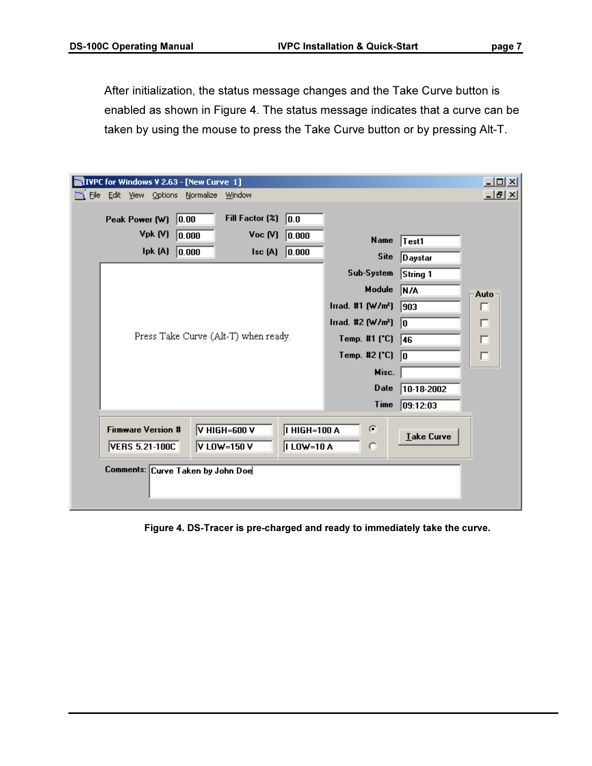After initialization, the status message changes and the Take Curve button is enabled as shown in Figure 4. The status message indicates that a curve can be taken by using the mouse to press the Take Curve button or by pressing Alt-T.

|  | VIVPC for Windows V 2.63 - [New Curve 1]           |                 |                             |                                            |                                    |                               |                   | $\Box$ u $\times$ |
|--|----------------------------------------------------|-----------------|-----------------------------|--------------------------------------------|------------------------------------|-------------------------------|-------------------|-------------------|
|  | File Edit View Options Normalize                   |                 | <u>W</u> indow              |                                            |                                    |                               |                   | 그피지               |
|  | Peak Power $(W)$ 0.00                              |                 |                             | Fill Factor $\left(\frac{2}{3}\right)$ 0.0 |                                    |                               |                   |                   |
|  | Vpk(W)                                             | 0.000           |                             | Voc(V)                                     | 0.000                              | <b>Name</b>                   | Test1             |                   |
|  |                                                    | lpk $(A)$ 0.000 |                             | $\mathsf{Isc}(\mathsf{A})$                 | 0.000                              | <b>Site</b>                   | Daystar           |                   |
|  |                                                    |                 |                             |                                            |                                    | Sub-System                    | String 1          |                   |
|  |                                                    |                 |                             |                                            |                                    | Module                        | N/A               | Auto              |
|  |                                                    |                 |                             |                                            |                                    | $\ln ad.$ #1 $(W/m2)$         | 903               | п                 |
|  |                                                    |                 |                             |                                            |                                    | Irrad. #2 (W/m <sup>2</sup> ) | lo.               | п                 |
|  |                                                    |                 |                             | Press Take Curve (Alt-T) when ready.       |                                    | Temp. #1 (°C)                 | 46                | п                 |
|  |                                                    |                 |                             |                                            |                                    | Temp. #2 (*C)                 | lo.               | $\Box$            |
|  |                                                    |                 |                             |                                            |                                    | Misc.                         |                   |                   |
|  |                                                    |                 |                             |                                            |                                    | <b>Date</b>                   | $10-18-2002$      |                   |
|  |                                                    |                 |                             |                                            |                                    | Time                          | 09:12:03          |                   |
|  | <b>Firmware Version #</b><br><b>VERS 5.21-100C</b> |                 | V HIGH=600 V<br>V LOW=150 V |                                            | <b>I HIGH=100 A</b><br> I LOW=10 A | ø<br>O                        | <b>Lake Curve</b> |                   |
|  | Comments: Curve Taken by John Doe                  |                 |                             |                                            |                                    |                               |                   |                   |

Figure 4. DS-Tracer is pre-charged and ready to immediately take the curve.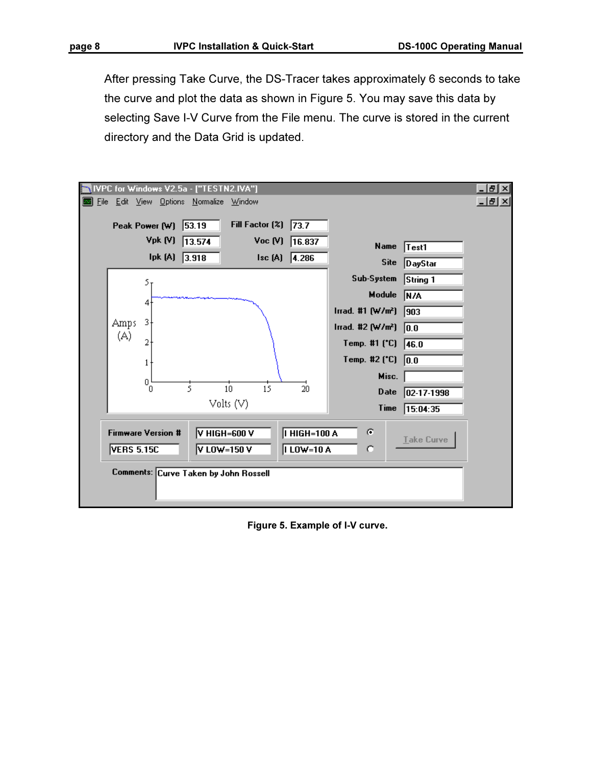After pressing Take Curve, the DS-Tracer takes approximately 6 seconds to take the curve and plot the data as shown in Figure 5. You may save this data by selecting Save I-V Curve from the File menu. The curve is stored in the current directory and the Data Grid is updated.

|      |             |                                                | VPC for Windows V2.5a - ["TESTN2.IVA"] |                        |                                        |                               |                   |     |
|------|-------------|------------------------------------------------|----------------------------------------|------------------------|----------------------------------------|-------------------------------|-------------------|-----|
| File |             |                                                | Edit View Options Normalize Window     |                        |                                        |                               |                   | 그희지 |
|      |             | Peak Power (W) 53.19                           |                                        | Fill Factor (%)        | 73.7                                   |                               |                   |     |
|      |             | Vpk (V)                                        | 13.574                                 | Voc(V)                 | 16.837                                 | <b>Name</b>                   | Test1             |     |
|      |             | lpk (A)                                        | 3.918                                  | sc(A)                  | 4.286                                  | <b>Site</b>                   | <b>DayStar</b>    |     |
|      |             | 5 <sub>T</sub>                                 |                                        |                        |                                        | Sub-System                    | String 1          |     |
|      |             | 41                                             |                                        |                        |                                        | Module                        | N/A               |     |
|      |             |                                                |                                        |                        |                                        | Irrad. #1 $(W/m2)$            | 903               |     |
|      | Amps<br>(A) | 3,                                             |                                        |                        |                                        | Irrad. #2 (W/m <sup>2</sup> ) | $\overline{0.0}$  |     |
|      |             | 2                                              |                                        |                        |                                        | Temp. #1 (*C)                 | 46.0              |     |
|      |             |                                                |                                        |                        |                                        | Temp. #2 (*C)                 | $\sqrt{0.0}$      |     |
|      |             | $^{0^{\ast}}_{\hphantom{0}0}$                  |                                        |                        |                                        | Misc.                         |                   |     |
|      |             |                                                | 5                                      | 15<br>10 <sub>10</sub> | 20                                     | Date                          | 02-17-1998        |     |
|      |             |                                                |                                        | Volts $(V)$            |                                        | Time                          | 15:04:35          |     |
|      |             | <b>Firmware Version #</b><br><b>VERS 5.15C</b> | V HIGH=600 V<br>V LOW=150 V            |                        | <b>I HIGH=100 A</b><br><b>ILOW=10A</b> | ø<br>O                        | <b>Lake Curve</b> |     |
|      |             |                                                | Comments: Curve Taken by John Rossell  |                        |                                        |                               |                   |     |

Figure 5. Example of I-V curve.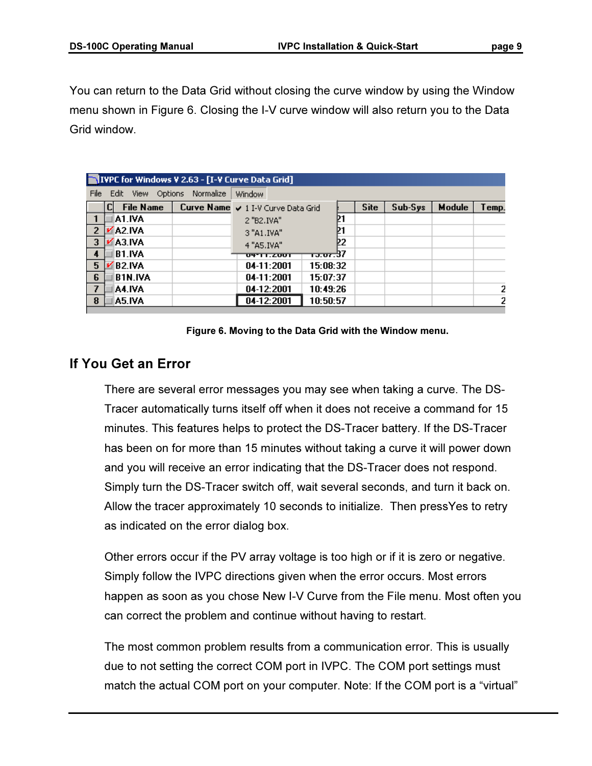You can return to the Data Grid without closing the curve window by using the Window menu shown in Figure 6. Closing the I-V curve window will also return you to the Data Grid window.

| <b>NIVPC for Windows V 2.63 - [I-V Curve Data Grid]</b> |    |                  |  |                                    |          |      |         |               |       |  |
|---------------------------------------------------------|----|------------------|--|------------------------------------|----------|------|---------|---------------|-------|--|
| File<br>Edit View Options<br>Normalize<br><b>Window</b> |    |                  |  |                                    |          |      |         |               |       |  |
|                                                         | CI | <b>File Name</b> |  | Curve Name v 1 I-V Curve Data Grid |          | Site | Sub-Sys | <b>Module</b> | Temp. |  |
|                                                         |    | A1.IVA           |  | 2 "B2.IVA"                         | Þ1       |      |         |               |       |  |
| -2                                                      |    | A2.IVA           |  | 3 "A1.IVA"                         |          |      |         |               |       |  |
| -3                                                      |    | A3.IVA           |  | 4 "A5.IVA"                         | 22.      |      |         |               |       |  |
| 4                                                       |    | <b>B1.IVA</b>    |  | ण्कार टण्ण                         | ਦਰ ਦਾ ਸ  |      |         |               |       |  |
| -5                                                      |    | <b>B2.IVA</b>    |  | $04 - 11:2001$                     | 15:08:32 |      |         |               |       |  |
| 6                                                       |    | <b>B1N.IVA</b>   |  | 04-11:2001                         | 15:07:37 |      |         |               |       |  |
| -7                                                      |    | IA4.IVA          |  | 04-12:2001                         | 10:49:26 |      |         |               |       |  |
| 8                                                       |    | A5.IVA           |  | 04-12:2001                         | 10:50:57 |      |         |               |       |  |

Figure 6. Moving to the Data Grid with the Window menu.

## If You Get an Error

There are several error messages you may see when taking a curve. The DS-Tracer automatically turns itself off when it does not receive a command for 15 minutes. This features helps to protect the DS-Tracer battery. If the DS-Tracer has been on for more than 15 minutes without taking a curve it will power down and you will receive an error indicating that the DS-Tracer does not respond. Simply turn the DS-Tracer switch off, wait several seconds, and turn it back on. Allow the tracer approximately 10 seconds to initialize. Then pressYes to retry as indicated on the error dialog box.

Other errors occur if the PV array voltage is too high or if it is zero or negative. Simply follow the IVPC directions given when the error occurs. Most errors happen as soon as you chose New I-V Curve from the File menu. Most often you can correct the problem and continue without having to restart.

The most common problem results from a communication error. This is usually due to not setting the correct COM port in IVPC. The COM port settings must match the actual COM port on your computer. Note: If the COM port is a "virtual"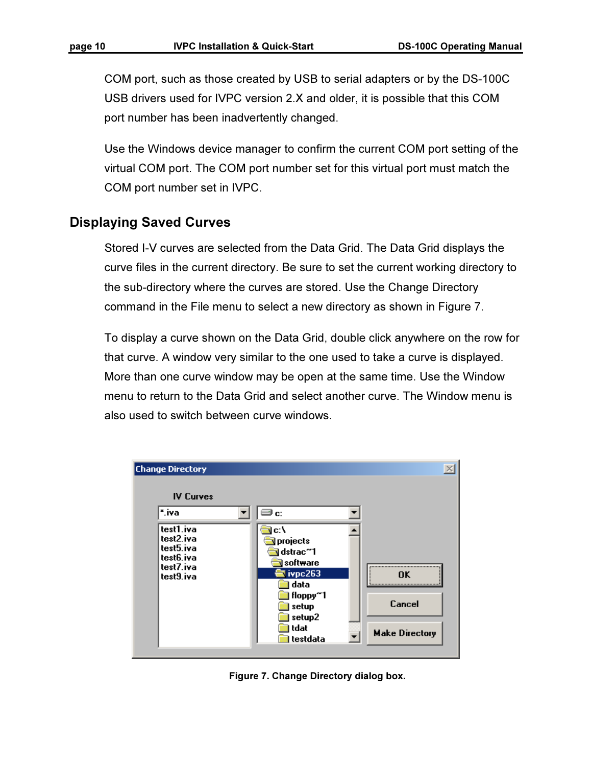COM port, such as those created by USB to serial adapters or by the DS-100C USB drivers used for IVPC version 2.X and older, it is possible that this COM port number has been inadvertently changed.

Use the Windows device manager to confirm the current COM port setting of the virtual COM port. The COM port number set for this virtual port must match the COM port number set in IVPC.

### Displaying Saved Curves

Stored I-V curves are selected from the Data Grid. The Data Grid displays the curve files in the current directory. Be sure to set the current working directory to the sub-directory where the curves are stored. Use the Change Directory command in the File menu to select a new directory as shown in Figure 7.

To display a curve shown on the Data Grid, double click anywhere on the row for that curve. A window very similar to the one used to take a curve is displayed. More than one curve window may be open at the same time. Use the Window menu to return to the Data Grid and select another curve. The Window menu is also used to switch between curve windows.

| <b>Change Directory</b>                                                    |                                                                                                                           |                                       |
|----------------------------------------------------------------------------|---------------------------------------------------------------------------------------------------------------------------|---------------------------------------|
| <b>IV Curves</b>                                                           |                                                                                                                           |                                       |
| *.iva                                                                      | ⊒ c:                                                                                                                      |                                       |
| test1.iva<br>test2.iva<br>test5.iva<br>test6.iva<br>test7.iva<br>test9.iva | c:\<br>projects<br>dstrac~1<br>software<br>ivpc263<br>data<br>floppy <sup>~1</sup><br>setup<br>setup2<br>tdat<br>testdata | ΠK<br>Cancel<br><b>Make Directory</b> |

Figure 7. Change Directory dialog box.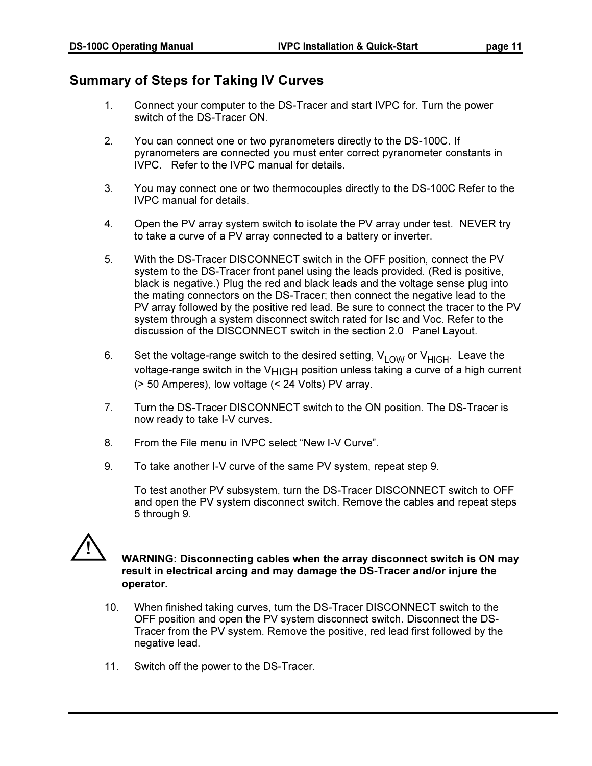## Summary of Steps for Taking IV Curves

- 1. Connect your computer to the DS-Tracer and start IVPC for. Turn the power switch of the DS-Tracer ON.
- 2. You can connect one or two pyranometers directly to the DS-100C. If pyranometers are connected you must enter correct pyranometer constants in IVPC. Refer to the IVPC manual for details.
- 3. You may connect one or two thermocouples directly to the DS-100C Refer to the IVPC manual for details.
- 4. Open the PV array system switch to isolate the PV array under test. NEVER try to take a curve of a PV array connected to a battery or inverter.
- 5. With the DS-Tracer DISCONNECT switch in the OFF position, connect the PV system to the DS-Tracer front panel using the leads provided. (Red is positive, black is negative.) Plug the red and black leads and the voltage sense plug into the mating connectors on the DS-Tracer; then connect the negative lead to the PV array followed by the positive red lead. Be sure to connect the tracer to the PV system through a system disconnect switch rated for Isc and Voc. Refer to the discussion of the DISCONNECT switch in the section 2.0 Panel Layout.
- 6. Set the voltage-range switch to the desired setting,  $V_{LOW}$  or  $V_{HIGH}$ . Leave the voltage-range switch in the V<sub>HIGH</sub> position unless taking a curve of a high current (> 50 Amperes), low voltage (< 24 Volts) PV array.
- 7. Turn the DS-Tracer DISCONNECT switch to the ON position. The DS-Tracer is now ready to take I-V curves.
- 8. From the File menu in IVPC select "New I-V Curve".
- 9. To take another I-V curve of the same PV system, repeat step 9.

 To test another PV subsystem, turn the DS-Tracer DISCONNECT switch to OFF and open the PV system disconnect switch. Remove the cables and repeat steps 5 through 9.



#### WARNING: Disconnecting cables when the array disconnect switch is ON may result in electrical arcing and may damage the DS-Tracer and/or injure the operator.

- 10. When finished taking curves, turn the DS-Tracer DISCONNECT switch to the OFF position and open the PV system disconnect switch. Disconnect the DS-Tracer from the PV system. Remove the positive, red lead first followed by the negative lead.
- 11. Switch off the power to the DS-Tracer.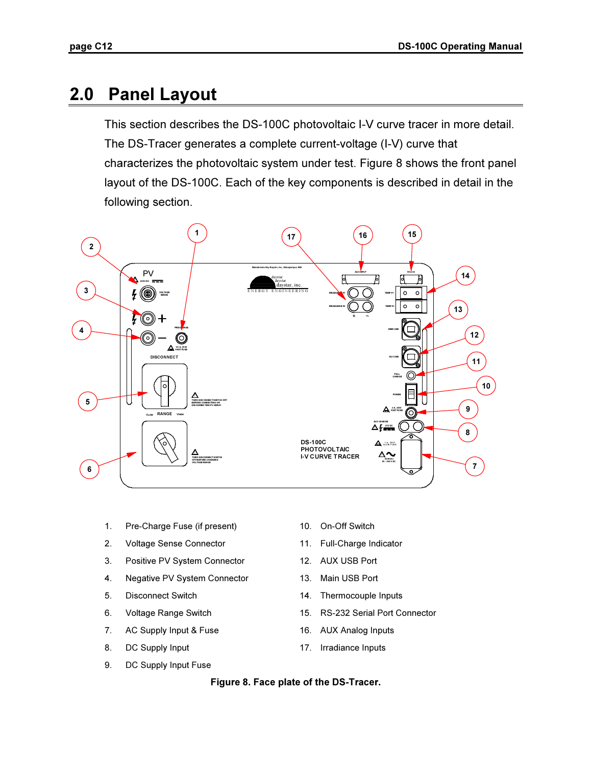## 2.0 Panel Layout

This section describes the DS-100C photovoltaic I-V curve tracer in more detail. The DS-Tracer generates a complete current-voltage (I-V) curve that characterizes the photovoltaic system under test. Figure 8 shows the front panel layout of the DS-100C. Each of the key components is described in detail in the following section.



- 1. Pre-Charge Fuse (if present) 10. On-Off Switch
- 2. Voltage Sense Connector **11.** Full-Charge Indicator
- 3. Positive PV System Connector 12. AUX USB Port
- 4. Negative PV System Connector 13. Main USB Port
- 
- 
- 7. AC Supply Input & Fuse 16. AUX Analog Inputs
- 8. DC Supply Input 17. Irradiance Inputs
- 9. DC Supply Input Fuse
- 
- 
- 
- 
- 5. Disconnect Switch 14. Thermocouple Inputs
- 6. Voltage Range Switch 15. RS-232 Serial Port Connector
	-
	-

#### Figure 8. Face plate of the DS-Tracer.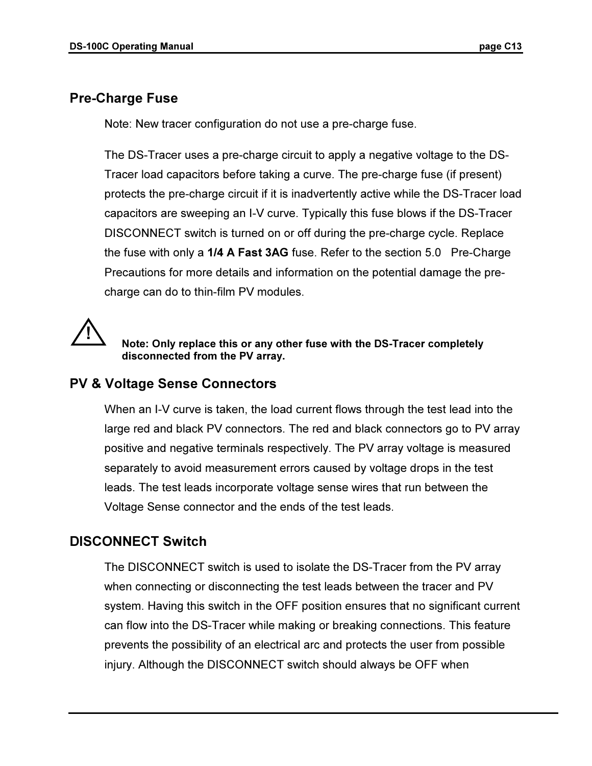## Pre-Charge Fuse

Note: New tracer configuration do not use a pre-charge fuse.

The DS-Tracer uses a pre-charge circuit to apply a negative voltage to the DS-Tracer load capacitors before taking a curve. The pre-charge fuse (if present) protects the pre-charge circuit if it is inadvertently active while the DS-Tracer load capacitors are sweeping an I-V curve. Typically this fuse blows if the DS-Tracer DISCONNECT switch is turned on or off during the pre-charge cycle. Replace the fuse with only a 1/4 A Fast 3AG fuse. Refer to the section 5.0 Pre-Charge Precautions for more details and information on the potential damage the precharge can do to thin-film PV modules.



#### Note: Only replace this or any other fuse with the DS-Tracer completely disconnected from the PV array.

## PV & Voltage Sense Connectors

When an I-V curve is taken, the load current flows through the test lead into the large red and black PV connectors. The red and black connectors go to PV array positive and negative terminals respectively. The PV array voltage is measured separately to avoid measurement errors caused by voltage drops in the test leads. The test leads incorporate voltage sense wires that run between the Voltage Sense connector and the ends of the test leads.

## DISCONNECT Switch

The DISCONNECT switch is used to isolate the DS-Tracer from the PV array when connecting or disconnecting the test leads between the tracer and PV system. Having this switch in the OFF position ensures that no significant current can flow into the DS-Tracer while making or breaking connections. This feature prevents the possibility of an electrical arc and protects the user from possible injury. Although the DISCONNECT switch should always be OFF when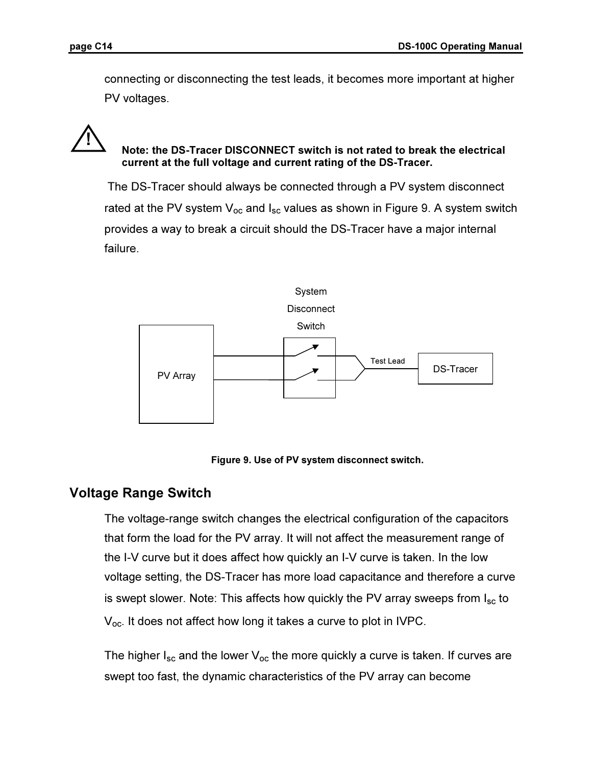l,

connecting or disconnecting the test leads, it becomes more important at higher PV voltages.

## Note: the DS-Tracer DISCONNECT switch is not rated to break the electrical current at the full voltage and current rating of the DS-Tracer.

The DS-Tracer should always be connected through a PV system disconnect rated at the PV system  $V_{\text{oc}}$  and  $I_{\text{sc}}$  values as shown in Figure 9. A system switch provides a way to break a circuit should the DS-Tracer have a major internal failure.



Figure 9. Use of PV system disconnect switch.

## Voltage Range Switch

The voltage-range switch changes the electrical configuration of the capacitors that form the load for the PV array. It will not affect the measurement range of the I-V curve but it does affect how quickly an I-V curve is taken. In the low voltage setting, the DS-Tracer has more load capacitance and therefore a curve is swept slower. Note: This affects how quickly the PV array sweeps from  $I_{sc}$  to Voc. It does not affect how long it takes a curve to plot in IVPC.

The higher  $I_{sc}$  and the lower  $V_{oc}$  the more quickly a curve is taken. If curves are swept too fast, the dynamic characteristics of the PV array can become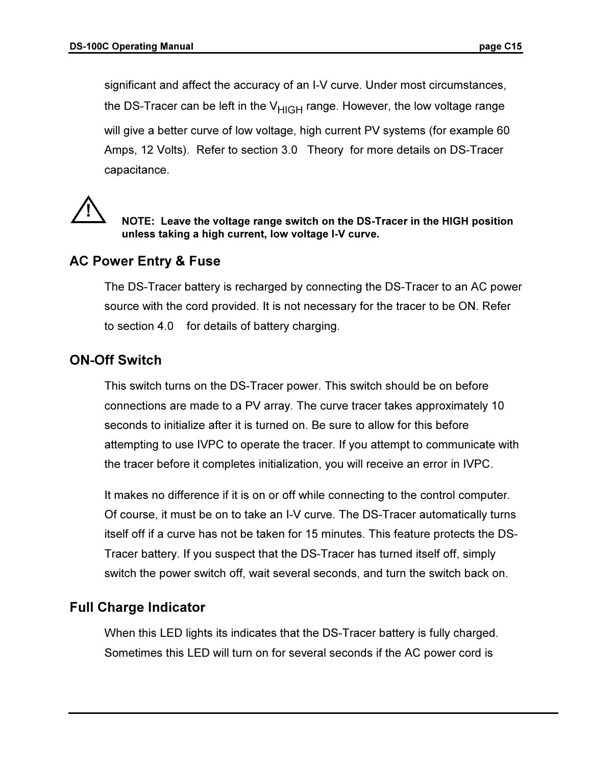significant and affect the accuracy of an I-V curve. Under most circumstances, the DS-Tracer can be left in the  $V_{HIGH}$  range. However, the low voltage range will give a better curve of low voltage, high current PV systems (for example 60 Amps, 12 Volts). Refer to section 3.0 Theory for more details on DS-Tracer capacitance.



### NOTE: Leave the voltage range switch on the DS-Tracer in the HIGH position unless taking a high current, low voltage I-V curve.

## AC Power Entry & Fuse

The DS-Tracer battery is recharged by connecting the DS-Tracer to an AC power source with the cord provided. It is not necessary for the tracer to be ON. Refer to section 4.0 for details of battery charging.

## ON-Off Switch

This switch turns on the DS-Tracer power. This switch should be on before connections are made to a PV array. The curve tracer takes approximately 10 seconds to initialize after it is turned on. Be sure to allow for this before attempting to use IVPC to operate the tracer. If you attempt to communicate with the tracer before it completes initialization, you will receive an error in IVPC.

It makes no difference if it is on or off while connecting to the control computer. Of course, it must be on to take an I-V curve. The DS-Tracer automatically turns itself off if a curve has not be taken for 15 minutes. This feature protects the DS-Tracer battery. If you suspect that the DS-Tracer has turned itself off, simply switch the power switch off, wait several seconds, and turn the switch back on.

## Full Charge Indicator

When this LED lights its indicates that the DS-Tracer battery is fully charged. Sometimes this LED will turn on for several seconds if the AC power cord is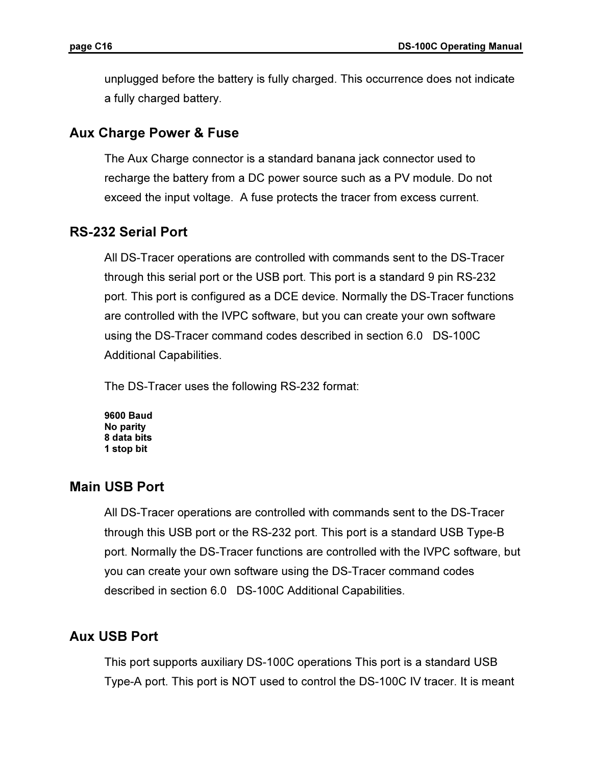unplugged before the battery is fully charged. This occurrence does not indicate a fully charged battery.

## Aux Charge Power & Fuse

The Aux Charge connector is a standard banana jack connector used to recharge the battery from a DC power source such as a PV module. Do not exceed the input voltage. A fuse protects the tracer from excess current.

## RS-232 Serial Port

All DS-Tracer operations are controlled with commands sent to the DS-Tracer through this serial port or the USB port. This port is a standard 9 pin RS-232 port. This port is configured as a DCE device. Normally the DS-Tracer functions are controlled with the IVPC software, but you can create your own software using the DS-Tracer command codes described in section 6.0 DS-100C Additional Capabilities.

The DS-Tracer uses the following RS-232 format:

9600 Baud No parity 8 data bits 1 stop bit

## Main USB Port

All DS-Tracer operations are controlled with commands sent to the DS-Tracer through this USB port or the RS-232 port. This port is a standard USB Type-B port. Normally the DS-Tracer functions are controlled with the IVPC software, but you can create your own software using the DS-Tracer command codes described in section 6.0 DS-100C Additional Capabilities.

## Aux USB Port

This port supports auxiliary DS-100C operations This port is a standard USB Type-A port. This port is NOT used to control the DS-100C IV tracer. It is meant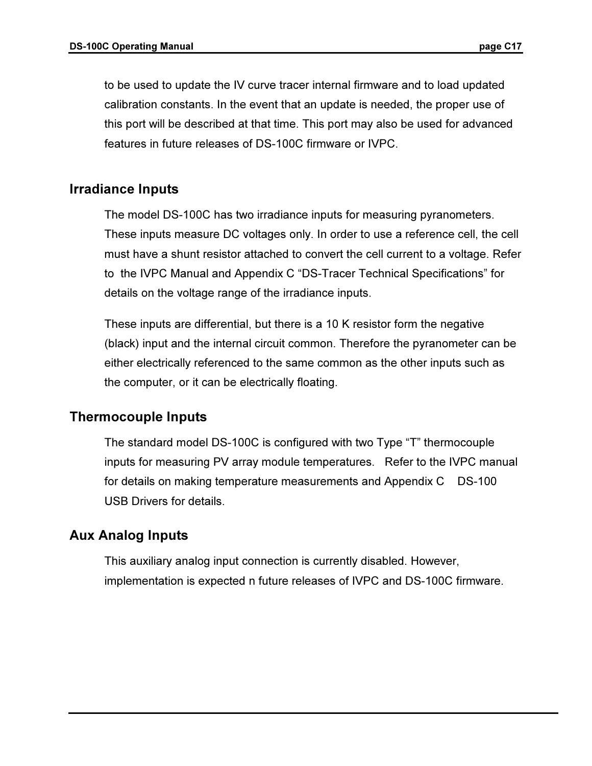to be used to update the IV curve tracer internal firmware and to load updated calibration constants. In the event that an update is needed, the proper use of this port will be described at that time. This port may also be used for advanced features in future releases of DS-100C firmware or IVPC.

## Irradiance Inputs

The model DS-100C has two irradiance inputs for measuring pyranometers. These inputs measure DC voltages only. In order to use a reference cell, the cell must have a shunt resistor attached to convert the cell current to a voltage. Refer to the IVPC Manual and Appendix C "DS-Tracer Technical Specifications" for details on the voltage range of the irradiance inputs.

These inputs are differential, but there is a 10 K resistor form the negative (black) input and the internal circuit common. Therefore the pyranometer can be either electrically referenced to the same common as the other inputs such as the computer, or it can be electrically floating.

## Thermocouple Inputs

The standard model DS-100C is configured with two Type "T" thermocouple inputs for measuring PV array module temperatures. Refer to the IVPC manual for details on making temperature measurements and Appendix C DS-100 USB Drivers for details.

## Aux Analog Inputs

This auxiliary analog input connection is currently disabled. However, implementation is expected n future releases of IVPC and DS-100C firmware.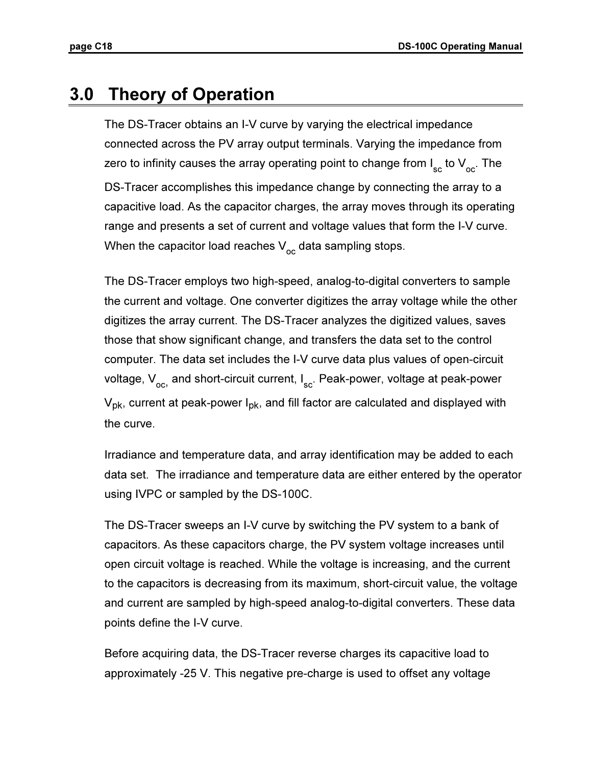## 3.0 Theory of Operation

The DS-Tracer obtains an I-V curve by varying the electrical impedance connected across the PV array output terminals. Varying the impedance from zero to infinity causes the array operating point to change from I $_{\rm sc}$  to  $\mathsf{V}_{\rm oc}^{\phantom{\dag}}$  . The DS-Tracer accomplishes this impedance change by connecting the array to a capacitive load. As the capacitor charges, the array moves through its operating range and presents a set of current and voltage values that form the I-V curve. When the capacitor load reaches  $\mathsf{V}_{\mathsf{oc}}^{\phantom{\dag}}$  data sampling stops.

The DS-Tracer employs two high-speed, analog-to-digital converters to sample the current and voltage. One converter digitizes the array voltage while the other digitizes the array current. The DS-Tracer analyzes the digitized values, saves those that show significant change, and transfers the data set to the control computer. The data set includes the I-V curve data plus values of open-circuit voltage, V<sub>oc,</sub> and short-circuit current, I<sub>sc</sub>. Peak-power, voltage at peak-power  $V_{\rm pk}$ , current at peak-power  $I_{\rm pk}$ , and fill factor are calculated and displayed with the curve.

Irradiance and temperature data, and array identification may be added to each data set. The irradiance and temperature data are either entered by the operator using IVPC or sampled by the DS-100C.

The DS-Tracer sweeps an I-V curve by switching the PV system to a bank of capacitors. As these capacitors charge, the PV system voltage increases until open circuit voltage is reached. While the voltage is increasing, and the current to the capacitors is decreasing from its maximum, short-circuit value, the voltage and current are sampled by high-speed analog-to-digital converters. These data points define the I-V curve.

Before acquiring data, the DS-Tracer reverse charges its capacitive load to approximately -25 V. This negative pre-charge is used to offset any voltage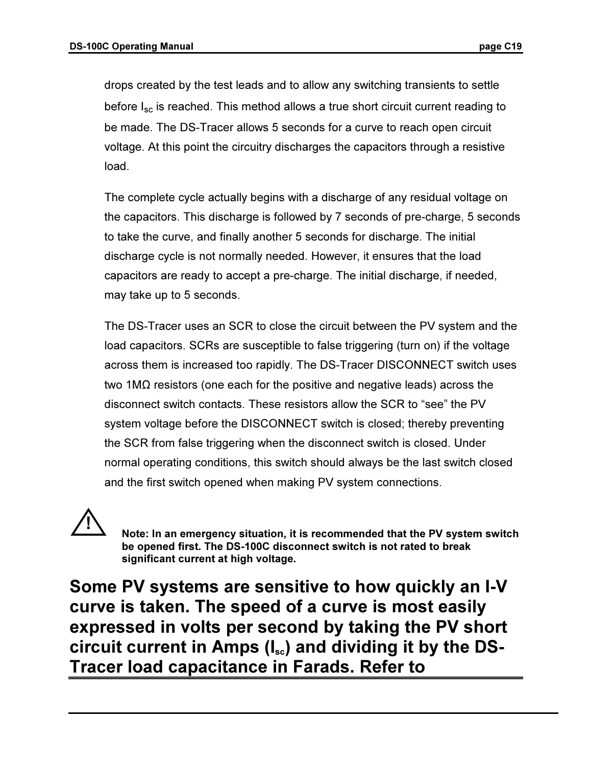drops created by the test leads and to allow any switching transients to settle before  $I_{\rm sc}$  is reached. This method allows a true short circuit current reading to be made. The DS-Tracer allows 5 seconds for a curve to reach open circuit voltage. At this point the circuitry discharges the capacitors through a resistive load.

The complete cycle actually begins with a discharge of any residual voltage on the capacitors. This discharge is followed by 7 seconds of pre-charge, 5 seconds to take the curve, and finally another 5 seconds for discharge. The initial discharge cycle is not normally needed. However, it ensures that the load capacitors are ready to accept a pre-charge. The initial discharge, if needed, may take up to 5 seconds.

The DS-Tracer uses an SCR to close the circuit between the PV system and the load capacitors. SCRs are susceptible to false triggering (turn on) if the voltage across them is increased too rapidly. The DS-Tracer DISCONNECT switch uses two 1MΩ resistors (one each for the positive and negative leads) across the disconnect switch contacts. These resistors allow the SCR to "see" the PV system voltage before the DISCONNECT switch is closed; thereby preventing the SCR from false triggering when the disconnect switch is closed. Under normal operating conditions, this switch should always be the last switch closed and the first switch opened when making PV system connections.



 Note: In an emergency situation, it is recommended that the PV system switch be opened first. The DS-100C disconnect switch is not rated to break significant current at high voltage.

Some PV systems are sensitive to how quickly an I-V curve is taken. The speed of a curve is most easily expressed in volts per second by taking the PV short circuit current in Amps  $(I_{sc})$  and dividing it by the DS-Tracer load capacitance in Farads. Refer to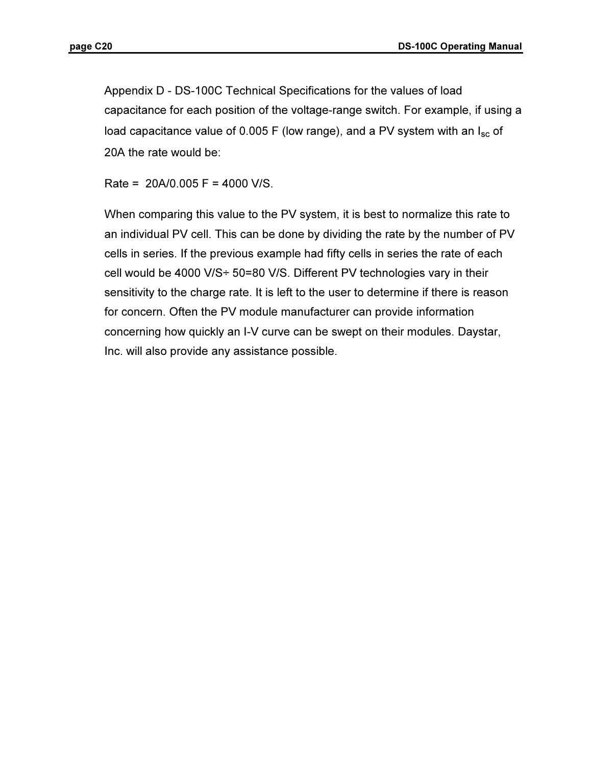Appendix D - DS-100C Technical Specifications for the values of load capacitance for each position of the voltage-range switch. For example, if using a load capacitance value of 0.005 F (low range), and a PV system with an  $I_{\rm sc}$  of 20A the rate would be:

Rate = 20A/0.005 F = 4000 V/S.

When comparing this value to the PV system, it is best to normalize this rate to an individual PV cell. This can be done by dividing the rate by the number of PV cells in series. If the previous example had fifty cells in series the rate of each cell would be 4000 V/S÷ 50=80 V/S. Different PV technologies vary in their sensitivity to the charge rate. It is left to the user to determine if there is reason for concern. Often the PV module manufacturer can provide information concerning how quickly an I-V curve can be swept on their modules. Daystar, Inc. will also provide any assistance possible.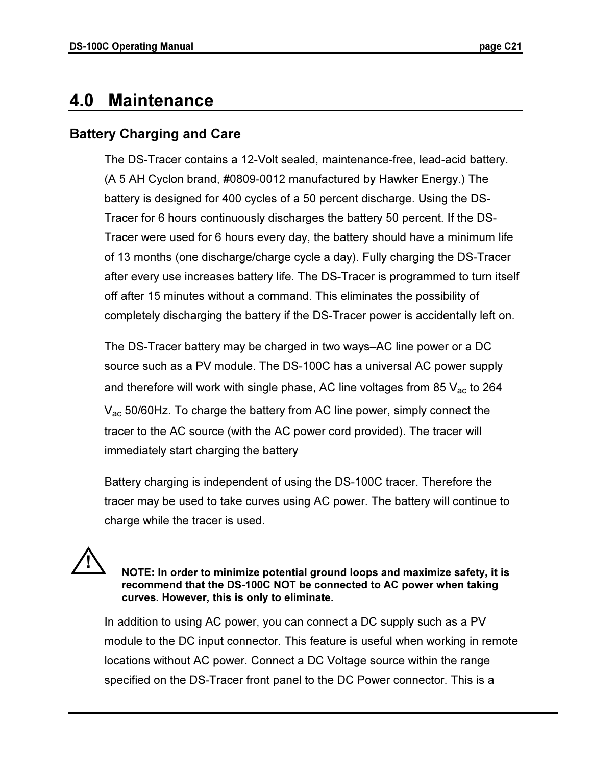## 4.0 Maintenance

## Battery Charging and Care

The DS-Tracer contains a 12-Volt sealed, maintenance-free, lead-acid battery. (A 5 AH Cyclon brand, #0809-0012 manufactured by Hawker Energy.) The battery is designed for 400 cycles of a 50 percent discharge. Using the DS-Tracer for 6 hours continuously discharges the battery 50 percent. If the DS-Tracer were used for 6 hours every day, the battery should have a minimum life of 13 months (one discharge/charge cycle a day). Fully charging the DS-Tracer after every use increases battery life. The DS-Tracer is programmed to turn itself off after 15 minutes without a command. This eliminates the possibility of completely discharging the battery if the DS-Tracer power is accidentally left on.

The DS-Tracer battery may be charged in two ways–AC line power or a DC source such as a PV module. The DS-100C has a universal AC power supply and therefore will work with single phase, AC line voltages from 85  $V_{ac}$  to 264 V<sub>ac</sub> 50/60Hz. To charge the battery from AC line power, simply connect the tracer to the AC source (with the AC power cord provided). The tracer will immediately start charging the battery

Battery charging is independent of using the DS-100C tracer. Therefore the tracer may be used to take curves using AC power. The battery will continue to charge while the tracer is used.



 NOTE: In order to minimize potential ground loops and maximize safety, it is recommend that the DS-100C NOT be connected to AC power when taking curves. However, this is only to eliminate.

In addition to using AC power, you can connect a DC supply such as a PV module to the DC input connector. This feature is useful when working in remote locations without AC power. Connect a DC Voltage source within the range specified on the DS-Tracer front panel to the DC Power connector. This is a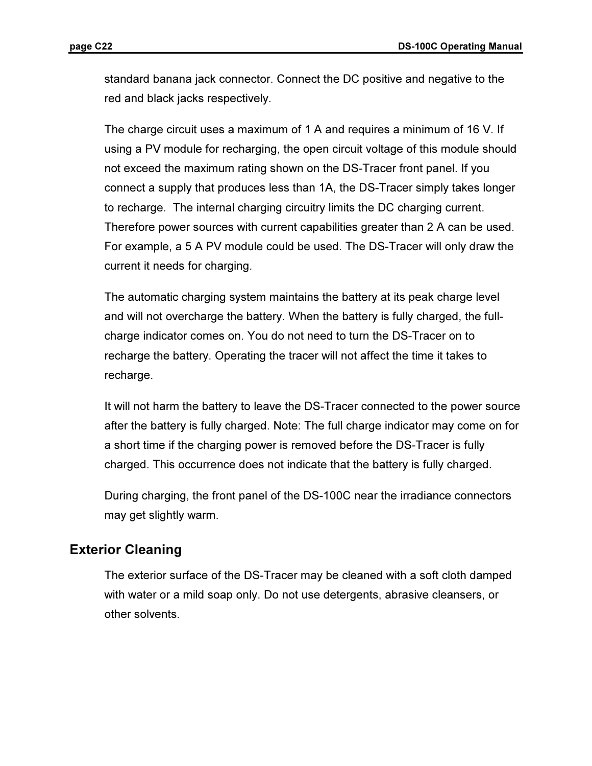standard banana jack connector. Connect the DC positive and negative to the red and black jacks respectively.

The charge circuit uses a maximum of 1 A and requires a minimum of 16 V. If using a PV module for recharging, the open circuit voltage of this module should not exceed the maximum rating shown on the DS-Tracer front panel. If you connect a supply that produces less than 1A, the DS-Tracer simply takes longer to recharge. The internal charging circuitry limits the DC charging current. Therefore power sources with current capabilities greater than 2 A can be used. For example, a 5 A PV module could be used. The DS-Tracer will only draw the current it needs for charging.

The automatic charging system maintains the battery at its peak charge level and will not overcharge the battery. When the battery is fully charged, the fullcharge indicator comes on. You do not need to turn the DS-Tracer on to recharge the battery. Operating the tracer will not affect the time it takes to recharge.

It will not harm the battery to leave the DS-Tracer connected to the power source after the battery is fully charged. Note: The full charge indicator may come on for a short time if the charging power is removed before the DS-Tracer is fully charged. This occurrence does not indicate that the battery is fully charged.

During charging, the front panel of the DS-100C near the irradiance connectors may get slightly warm.

## Exterior Cleaning

The exterior surface of the DS-Tracer may be cleaned with a soft cloth damped with water or a mild soap only. Do not use detergents, abrasive cleansers, or other solvents.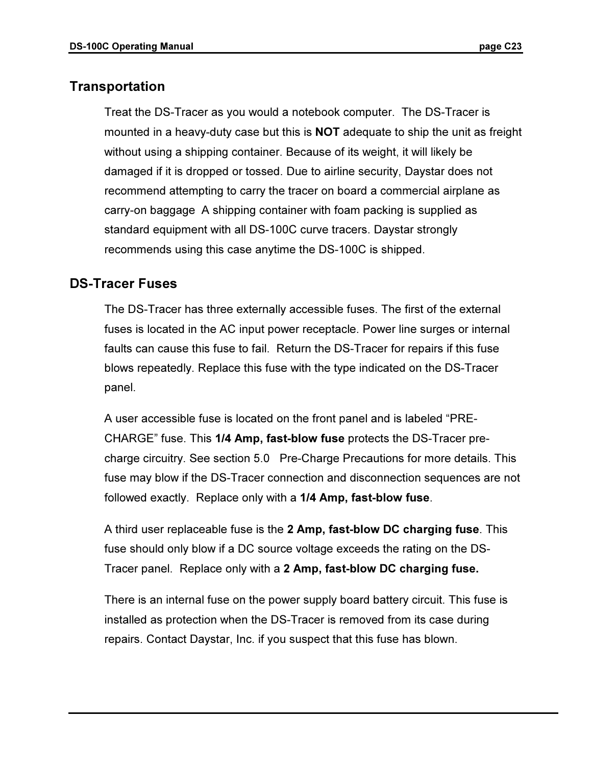## Transportation

Treat the DS-Tracer as you would a notebook computer. The DS-Tracer is mounted in a heavy-duty case but this is NOT adequate to ship the unit as freight without using a shipping container. Because of its weight, it will likely be damaged if it is dropped or tossed. Due to airline security, Daystar does not recommend attempting to carry the tracer on board a commercial airplane as carry-on baggage A shipping container with foam packing is supplied as standard equipment with all DS-100C curve tracers. Daystar strongly recommends using this case anytime the DS-100C is shipped.

## DS-Tracer Fuses

The DS-Tracer has three externally accessible fuses. The first of the external fuses is located in the AC input power receptacle. Power line surges or internal faults can cause this fuse to fail. Return the DS-Tracer for repairs if this fuse blows repeatedly. Replace this fuse with the type indicated on the DS-Tracer panel.

A user accessible fuse is located on the front panel and is labeled "PRE-CHARGE" fuse. This 1/4 Amp, fast-blow fuse protects the DS-Tracer precharge circuitry. See section 5.0 Pre-Charge Precautions for more details. This fuse may blow if the DS-Tracer connection and disconnection sequences are not followed exactly. Replace only with a 1/4 Amp, fast-blow fuse.

A third user replaceable fuse is the 2 Amp, fast-blow DC charging fuse. This fuse should only blow if a DC source voltage exceeds the rating on the DS-Tracer panel. Replace only with a 2 Amp, fast-blow DC charging fuse.

There is an internal fuse on the power supply board battery circuit. This fuse is installed as protection when the DS-Tracer is removed from its case during repairs. Contact Daystar, Inc. if you suspect that this fuse has blown.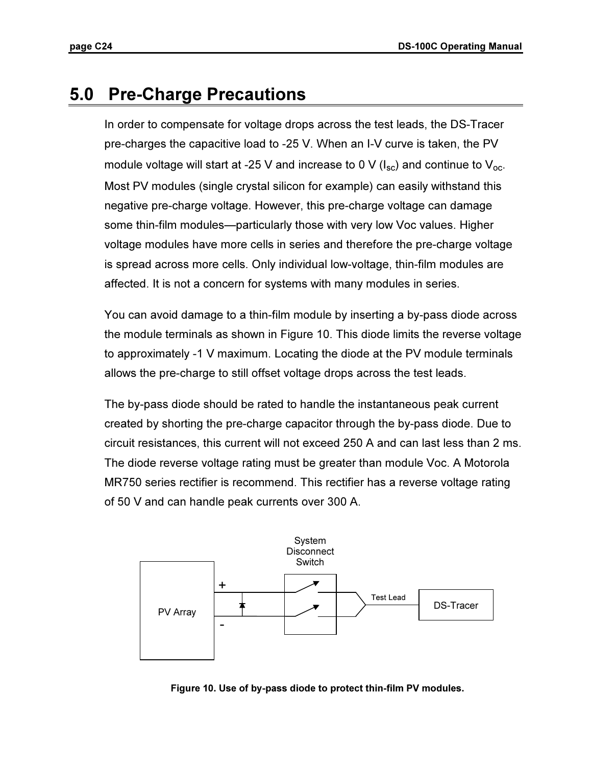## 5.0 Pre-Charge Precautions

In order to compensate for voltage drops across the test leads, the DS-Tracer pre-charges the capacitive load to -25 V. When an I-V curve is taken, the PV module voltage will start at -25 V and increase to 0 V ( $I_{\rm sc}$ ) and continue to  $V_{\rm oc}$ . Most PV modules (single crystal silicon for example) can easily withstand this negative pre-charge voltage. However, this pre-charge voltage can damage some thin-film modules—particularly those with very low Voc values. Higher voltage modules have more cells in series and therefore the pre-charge voltage is spread across more cells. Only individual low-voltage, thin-film modules are affected. It is not a concern for systems with many modules in series.

You can avoid damage to a thin-film module by inserting a by-pass diode across the module terminals as shown in Figure 10. This diode limits the reverse voltage to approximately -1 V maximum. Locating the diode at the PV module terminals allows the pre-charge to still offset voltage drops across the test leads.

The by-pass diode should be rated to handle the instantaneous peak current created by shorting the pre-charge capacitor through the by-pass diode. Due to circuit resistances, this current will not exceed 250 A and can last less than 2 ms. The diode reverse voltage rating must be greater than module Voc. A Motorola MR750 series rectifier is recommend. This rectifier has a reverse voltage rating of 50 V and can handle peak currents over 300 A.



Figure 10. Use of by-pass diode to protect thin-film PV modules.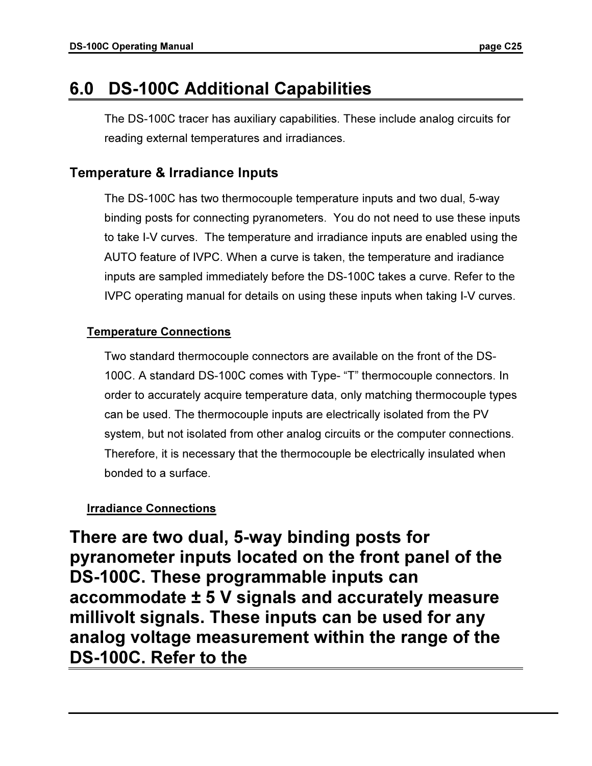## 6.0 DS-100C Additional Capabilities

The DS-100C tracer has auxiliary capabilities. These include analog circuits for reading external temperatures and irradiances.

## Temperature & Irradiance Inputs

The DS-100C has two thermocouple temperature inputs and two dual, 5-way binding posts for connecting pyranometers. You do not need to use these inputs to take I-V curves. The temperature and irradiance inputs are enabled using the AUTO feature of IVPC. When a curve is taken, the temperature and iradiance inputs are sampled immediately before the DS-100C takes a curve. Refer to the IVPC operating manual for details on using these inputs when taking I-V curves.

## Temperature Connections

Two standard thermocouple connectors are available on the front of the DS-100C. A standard DS-100C comes with Type- "T" thermocouple connectors. In order to accurately acquire temperature data, only matching thermocouple types can be used. The thermocouple inputs are electrically isolated from the PV system, but not isolated from other analog circuits or the computer connections. Therefore, it is necessary that the thermocouple be electrically insulated when bonded to a surface.

## Irradiance Connections

There are two dual, 5-way binding posts for pyranometer inputs located on the front panel of the DS-100C. These programmable inputs can accommodate ± 5 V signals and accurately measure millivolt signals. These inputs can be used for any analog voltage measurement within the range of the DS-100C. Refer to the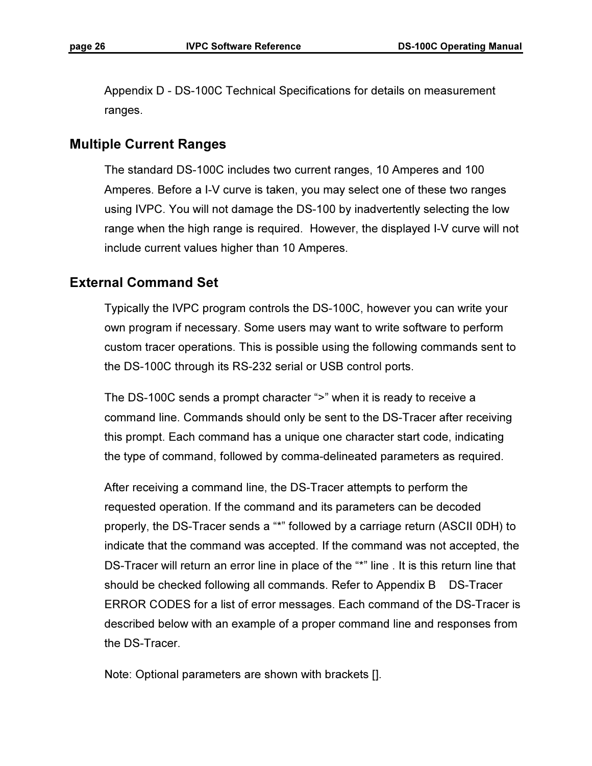Appendix D - DS-100C Technical Specifications for details on measurement ranges.

## Multiple Current Ranges

The standard DS-100C includes two current ranges, 10 Amperes and 100 Amperes. Before a I-V curve is taken, you may select one of these two ranges using IVPC. You will not damage the DS-100 by inadvertently selecting the low range when the high range is required. However, the displayed I-V curve will not include current values higher than 10 Amperes.

#### External Command Set

Typically the IVPC program controls the DS-100C, however you can write your own program if necessary. Some users may want to write software to perform custom tracer operations. This is possible using the following commands sent to the DS-100C through its RS-232 serial or USB control ports.

The DS-100C sends a prompt character ">" when it is ready to receive a command line. Commands should only be sent to the DS-Tracer after receiving this prompt. Each command has a unique one character start code, indicating the type of command, followed by comma-delineated parameters as required.

After receiving a command line, the DS-Tracer attempts to perform the requested operation. If the command and its parameters can be decoded properly, the DS-Tracer sends a "\*" followed by a carriage return (ASCII 0DH) to indicate that the command was accepted. If the command was not accepted, the DS-Tracer will return an error line in place of the "\*" line . It is this return line that should be checked following all commands. Refer to Appendix B DS-Tracer ERROR CODES for a list of error messages. Each command of the DS-Tracer is described below with an example of a proper command line and responses from the DS-Tracer.

Note: Optional parameters are shown with brackets [].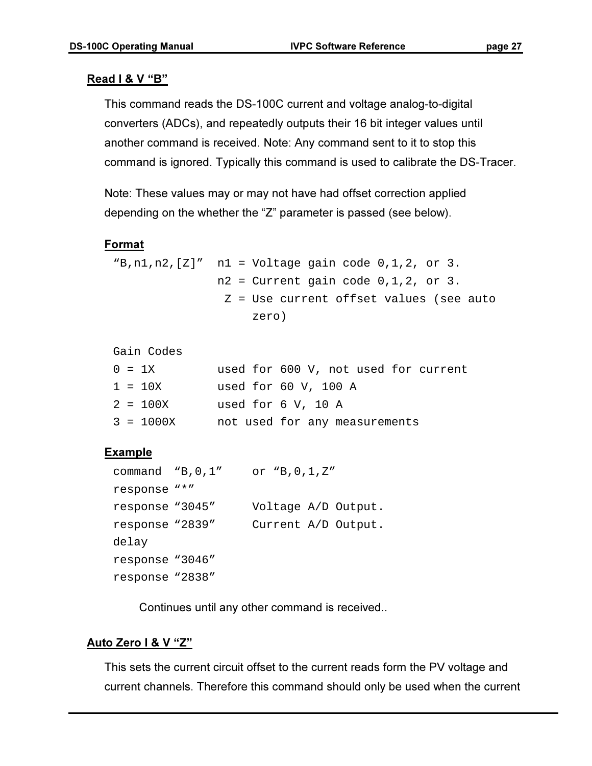### **Read I & V "B"**

This command reads the DS-100C current and voltage analog-to-digital converters (ADCs), and repeatedly outputs their 16 bit integer values until another command is received. Note: Any command sent to it to stop this command is ignored. Typically this command is used to calibrate the DS-Tracer.

Note: These values may or may not have had offset correction applied depending on the whether the "Z" parameter is passed (see below).

#### Format

```
``B,n1,n2,[Z]' n1 = Voltage gain code 0,1,2, or 3.
               n2 = Current gain code 0,1,2, or 3.
                 Z = Use current offset values (see auto 
                    zero)
```
Gain Codes

|  | $0 = 1X$    | used for 600 V, not used for current |
|--|-------------|--------------------------------------|
|  | $1 = 10X$   | used for 60 V, 100 A                 |
|  | $2 = 100X$  | used for 6 V, 10 A                   |
|  | $3 = 1000X$ | not used for any measurements        |

#### Example

```
command "B,0,1" or "B,0,1,Z" 
response "*" 
response "3045" Voltage A/D Output. 
response "2839" Current A/D Output. 
delay 
response "3046" 
response "2838"
```
Continues until any other command is received..

#### Auto Zero I & V "Z"

This sets the current circuit offset to the current reads form the PV voltage and current channels. Therefore this command should only be used when the current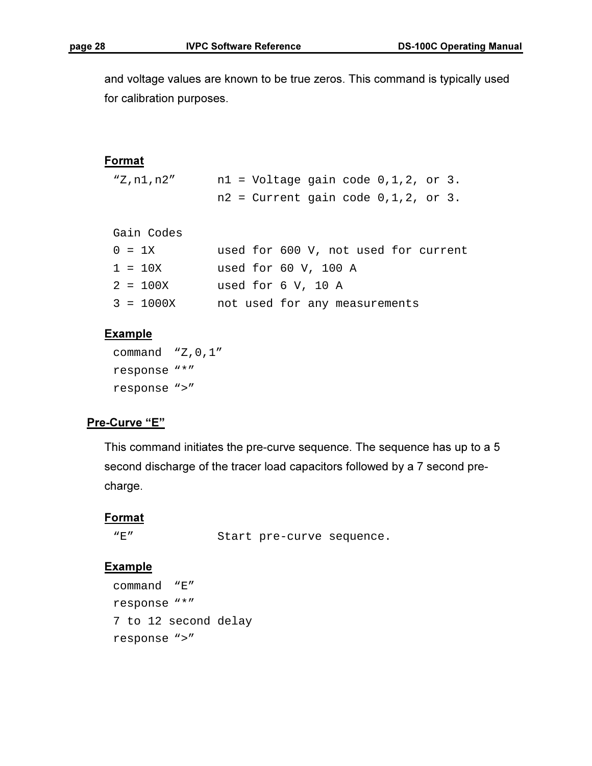and voltage values are known to be true zeros. This command is typically used for calibration purposes.

#### Format

"Z,n1,n2" n1 = Voltage gain code 0,1,2, or 3.  $n2$  = Current gain code  $0, 1, 2$ , or 3.

```
Gain Codes
```

|  | $0 = 1X$    | used for 600 V, not used for current |
|--|-------------|--------------------------------------|
|  | $1 = 10X$   | used for $60$ V, $100$ A             |
|  | $2 = 100X$  | used for 6 V, 10 A                   |
|  | $3 = 1000X$ | not used for any measurements        |

#### **Example**

```
command "Z,0,1" 
response "*" 
response ">"
```
#### Pre-Curve "E"

This command initiates the pre-curve sequence. The sequence has up to a 5 second discharge of the tracer load capacitors followed by a 7 second precharge.

#### **Format**

"E" Start pre-curve sequence.

#### **Example**

```
command "E" 
response "*" 
7 to 12 second delay 
response ">"
```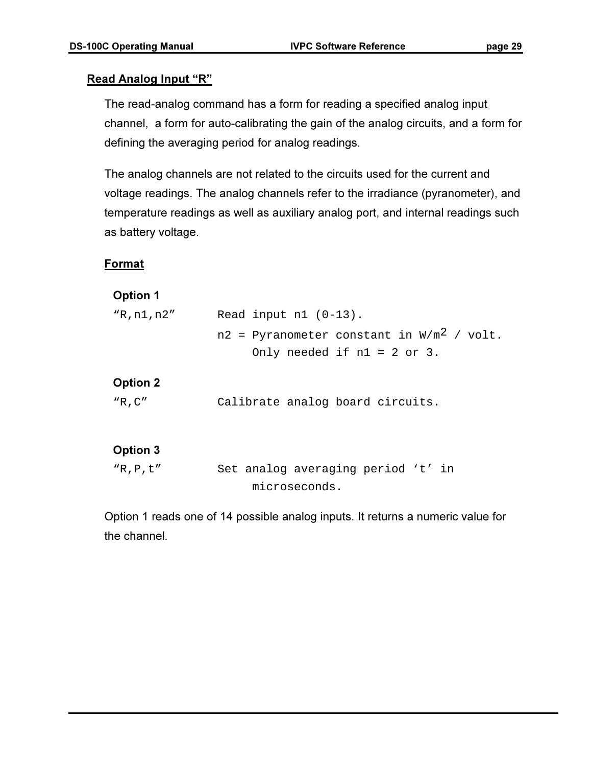### Read Analog Input "R"

The read-analog command has a form for reading a specified analog input channel, a form for auto-calibrating the gain of the analog circuits, and a form for defining the averaging period for analog readings.

The analog channels are not related to the circuits used for the current and voltage readings. The analog channels refer to the irradiance (pyranometer), and temperature readings as well as auxiliary analog port, and internal readings such as battery voltage.

### Format

### Option 1

| "R,n1,n2 <i>"</i> | Read input $n1$ (0-13).                                 |
|-------------------|---------------------------------------------------------|
|                   | $n2$ = Pyranometer constant in W/m <sup>2</sup> / volt. |
|                   | Only needed if $nl = 2$ or 3.                           |

### Option 2

| "R,C" | Calibrate analog board circuits. |  |  |  |  |
|-------|----------------------------------|--|--|--|--|
|-------|----------------------------------|--|--|--|--|

## Option 3

```
"R,P,t" Set analog averaging period 't' in 
                  microseconds.
```
Option 1 reads one of 14 possible analog inputs. It returns a numeric value for the channel.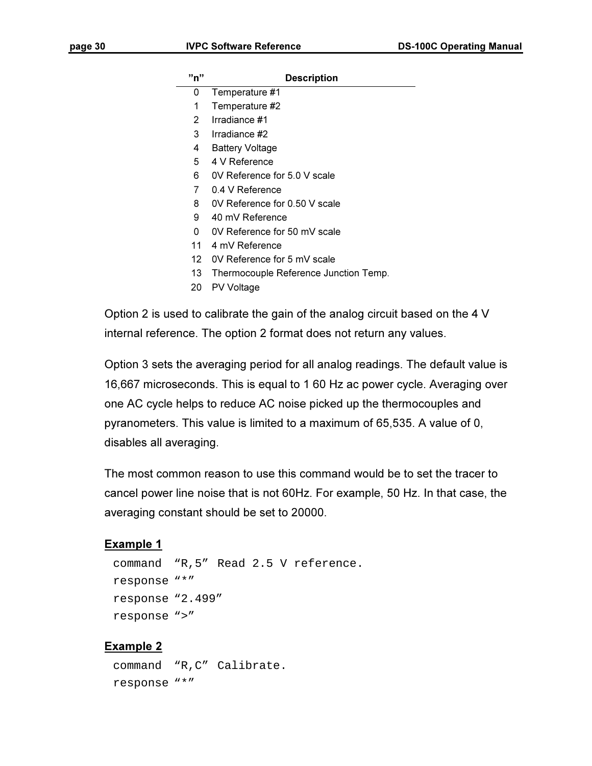#### **Description**

- 0 Temperature #1
- 1 Temperature #2
- 2 Irradiance #1
- 3 Irradiance #2
- 4 Battery Voltage
- 5 4 V Reference
- 6 0V Reference for 5.0 V scale
- 7 0.4 V Reference
- 8 OV Reference for 0.50 V scale
- 9 40 mV Reference
- 0 0V Reference for 50 mV scale
- 11 4 mV Reference
- 12 0V Reference for 5 mV scale
- 13 Thermocouple Reference Junction Temp.
- 20 PV Voltage

Option 2 is used to calibrate the gain of the analog circuit based on the 4 V internal reference. The option 2 format does not return any values.

Option 3 sets the averaging period for all analog readings. The default value is 16,667 microseconds. This is equal to 1 60 Hz ac power cycle. Averaging over one AC cycle helps to reduce AC noise picked up the thermocouples and pyranometers. This value is limited to a maximum of 65,535. A value of 0, disables all averaging.

The most common reason to use this command would be to set the tracer to cancel power line noise that is not 60Hz. For example, 50 Hz. In that case, the averaging constant should be set to 20000.

#### Example 1

```
command "R,5" Read 2.5 V reference. 
response "*" 
response "2.499" 
response ">"
```
#### Example 2

```
command "R,C" Calibrate. 
response "*"
```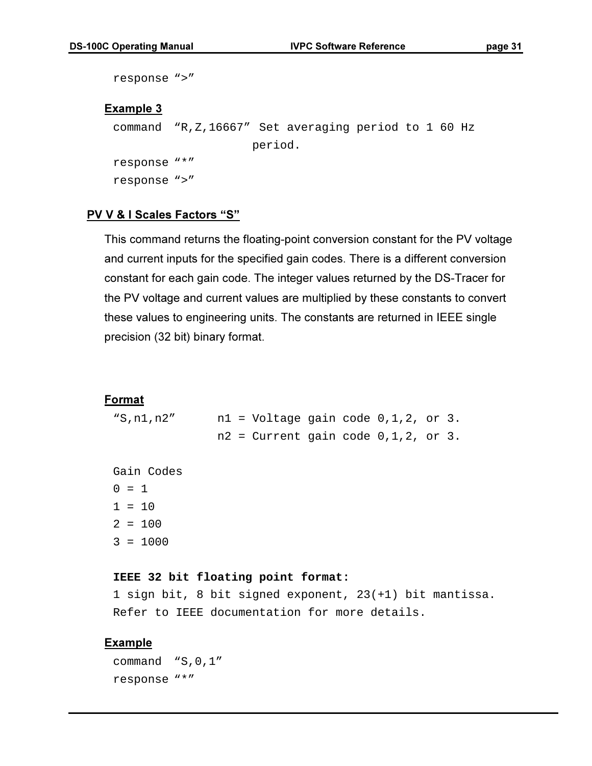```
response ">" 
Example 3
 command "R,Z,16667" Set averaging period to 1 60 Hz 
                       period. 
 response "*" 
 response ">"
```
#### PV V & I Scales Factors "S"

This command returns the floating-point conversion constant for the PV voltage and current inputs for the specified gain codes. There is a different conversion constant for each gain code. The integer values returned by the DS-Tracer for the PV voltage and current values are multiplied by these constants to convert these values to engineering units. The constants are returned in IEEE single precision (32 bit) binary format.

#### Format

"S,n1,n2" n1 = Voltage gain code 0,1,2, or 3.  $n2$  = Current gain code  $0,1,2$ , or 3.

Gain Codes

 $0 = 1$  $1 = 10$  $2 = 100$ 

3 = 1000

#### **IEEE 32 bit floating point format:**

```
1 sign bit, 8 bit signed exponent, 23(+1) bit mantissa. 
Refer to IEEE documentation for more details.
```
#### Example

command "S,0,1" response "\*"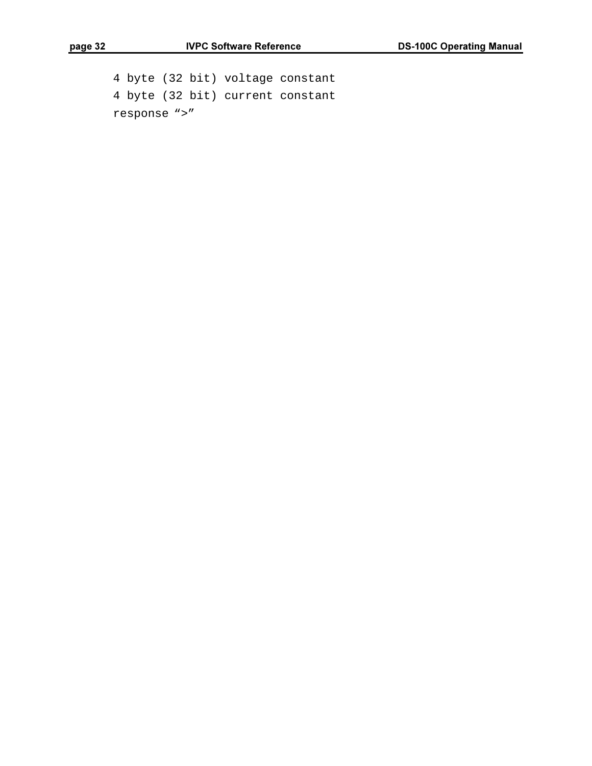4 byte (32 bit) voltage constant 4 byte (32 bit) current constant response ">"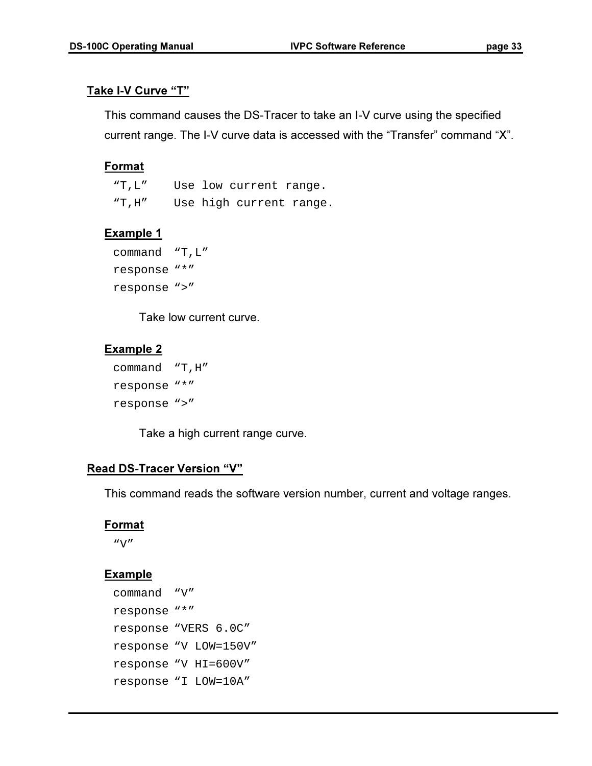### Take I-V Curve "T"

This command causes the DS-Tracer to take an I-V curve using the specified current range. The I-V curve data is accessed with the "Transfer" command "X".

## **Format**

"T,L" Use low current range. "T,H" Use high current range.

## Example 1

```
command "T,L" 
response "*" 
response ">"
```
Take low current curve.

## Example 2

```
command "T,H" 
response "*" 
response ">"
```
Take a high current range curve.

## Read DS-Tracer Version "V"

This command reads the software version number, current and voltage ranges.

#### Format

"V"

## **Example**

```
command "V" 
response "*" 
response "VERS 6.0C" 
response "V LOW=150V" 
response "V HI=600V" 
response "I LOW=10A"
```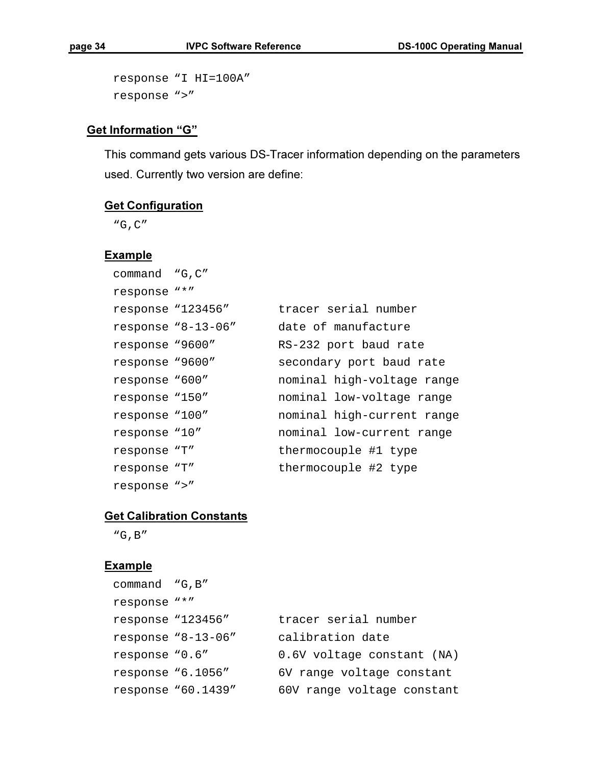```
response "I HI=100A" 
response ">"
```
## Get Information "G"

This command gets various DS-Tracer information depending on the parameters used. Currently two version are define:

## **Get Configuration**

"G,C"

#### **Example**

| command "G, C"    |                    |                            |
|-------------------|--------------------|----------------------------|
| response "*"      |                    |                            |
| response "123456" |                    | tracer serial number       |
|                   | response "8-13-06" | date of manufacture        |
| response "9600"   |                    | RS-232 port baud rate      |
| response "9600"   |                    | secondary port baud rate   |
| response "600"    |                    | nominal high-voltage range |
| response "150"    |                    | nominal low-voltage range  |
| response "100"    |                    | nominal high-current range |
| response "10"     |                    | nominal low-current range  |
| response "T"      |                    | thermocouple #1 type       |
| response "T"      |                    | thermocouple #2 type       |
| response ">"      |                    |                            |

#### **Get Calibration Constants**

"G,B"

### **Example**

| command "G, B"    |                      |                            |
|-------------------|----------------------|----------------------------|
| response "*"      |                      |                            |
| response "123456" |                      | tracer serial number       |
|                   | response $9-13-06$ " | calibration date           |
| response "0.6"    |                      | 0.6V voltage constant (NA) |
| response "6.1056" |                      | 6V range voltage constant  |
|                   | response "60.1439"   | 60V range voltage constant |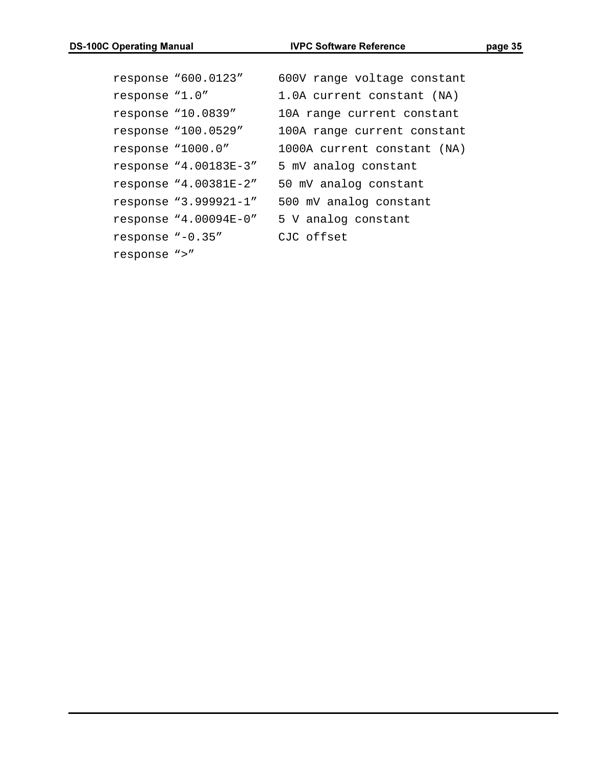```
response "600.0123" 600V range voltage constant 
response "1.0" 1.0A current constant (NA) 
response "10.0839" 10A range current constant 
response "100.0529" 100A range current constant 
response "1000.0" 1000A current constant (NA) 
response "4.00183E-3" 5 mV analog constant 
response "4.00381E-2" 50 mV analog constant 
response "3.999921-1" 500 mV analog constant 
response "4.00094E-0" 5 V analog constant 
response "-0.35" CJC offset 
response ">"
```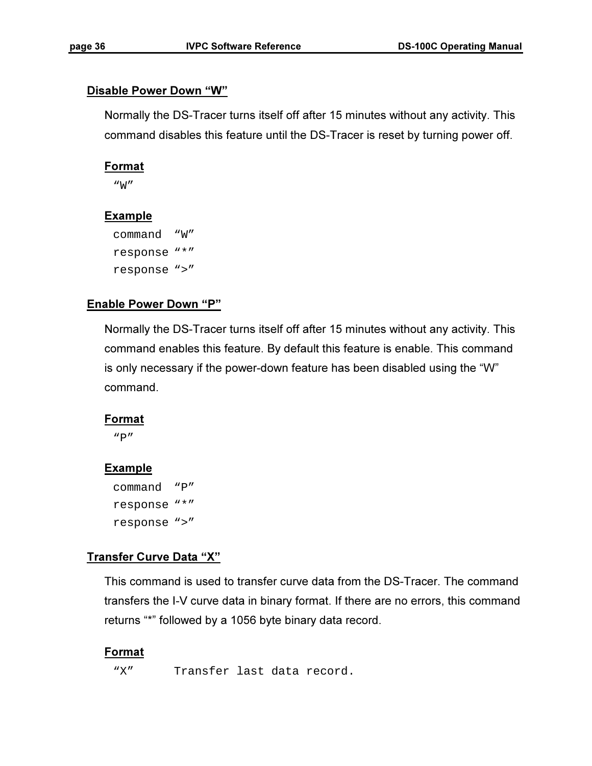#### Disable Power Down "W"

Normally the DS-Tracer turns itself off after 15 minutes without any activity. This command disables this feature until the DS-Tracer is reset by turning power off.

#### **Format**

"W"

### Example

```
command "W" 
response "*" 
response ">"
```
### Enable Power Down "P"

Normally the DS-Tracer turns itself off after 15 minutes without any activity. This command enables this feature. By default this feature is enable. This command is only necessary if the power-down feature has been disabled using the "W" command.

#### Format

 $"P"$ 

#### **Example**

```
command "P" 
response "*" 
response ">"
```
#### Transfer Curve Data "X"

This command is used to transfer curve data from the DS-Tracer. The command transfers the I-V curve data in binary format. If there are no errors, this command returns "\*" followed by a 1056 byte binary data record.

#### Format

"X" Transfer last data record.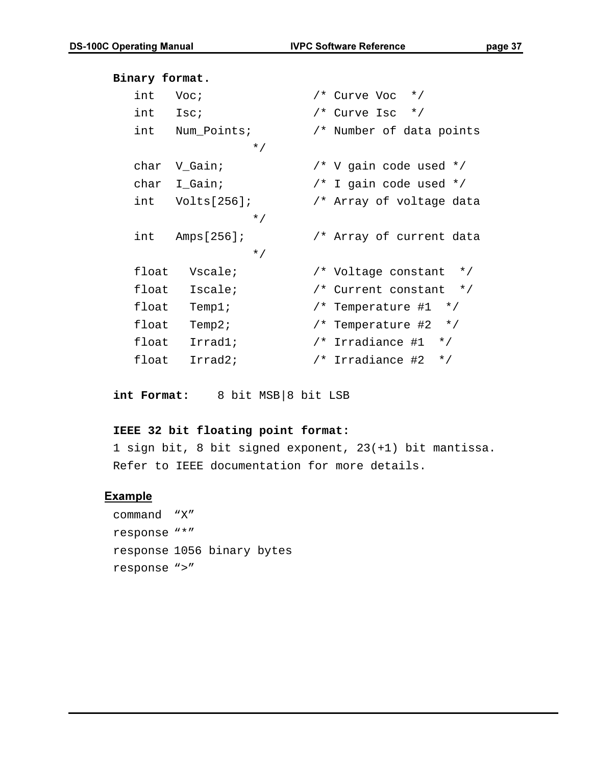## **Binary format.**  int Voc;  $/$ \* Curve Voc \*/ int  $\text{Isc}$ ;  $\frac{1}{2}$  /\* Curve Isc \*/ int Num\_Points; /\* Number of data points \*/ char V\_Gain; /\* V gain code used \*/ char I\_Gain; /\* I gain code used \*/ int Volts[256]; /\* Array of voltage data \*/ int Amps[256]; /\* Array of current data \*/ float Vscale; /\* Voltage constant \*/ float Iscale; /\* Current constant \*/ float Temp1; /\* Temperature #1 \*/ float Temp2; /\* Temperature #2 \*/ float Irrad1; /\* Irradiance #1 \*/ float Irrad2; /\* Irradiance #2 \*/

**int Format:** 8 bit MSB|8 bit LSB

#### **IEEE 32 bit floating point format:**

1 sign bit, 8 bit signed exponent, 23(+1) bit mantissa. Refer to IEEE documentation for more details.

#### Example

command "X" response "\*" response 1056 binary bytes response ">"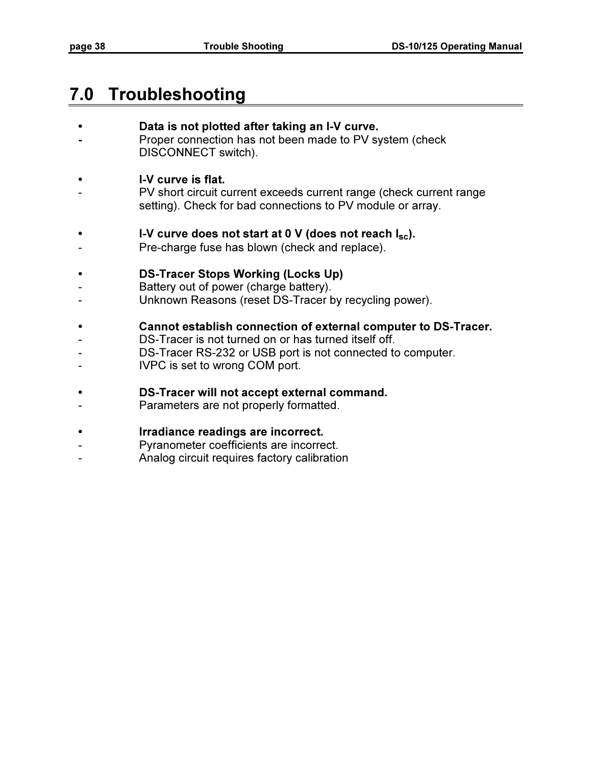## 7.0 Troubleshooting

#### Data is not plotted after taking an I-V curve.

- Proper connection has not been made to PV system (check DISCONNECT switch).

#### • I-V curve is flat.

- PV short circuit current exceeds current range (check current range setting). Check for bad connections to PV module or array.
- I-V curve does not start at 0 V (does not reach  $I_{\rm sc}$ ).
- Pre-charge fuse has blown (check and replace).

#### • DS-Tracer Stops Working (Locks Up)

- Battery out of power (charge battery).
- Unknown Reasons (reset DS-Tracer by recycling power).

#### • Cannot establish connection of external computer to DS-Tracer.

- DS-Tracer is not turned on or has turned itself off.
- DS-Tracer RS-232 or USB port is not connected to computer.
- IVPC is set to wrong COM port.

#### • DS-Tracer will not accept external command.

- Parameters are not properly formatted.

#### • Irradiance readings are incorrect.

- Pyranometer coefficients are incorrect.
- Analog circuit requires factory calibration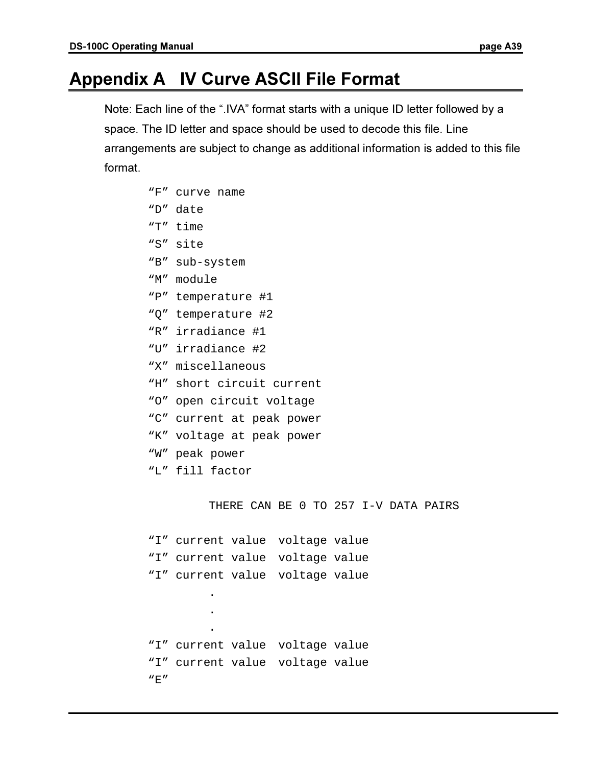## Appendix A IV Curve ASCII File Format

Note: Each line of the ".IVA" format starts with a unique ID letter followed by a space. The ID letter and space should be used to decode this file. Line arrangements are subject to change as additional information is added to this file format.

| "F" | curve name                           |
|-----|--------------------------------------|
| "D" | date                                 |
|     | "T" time                             |
| "S" | site                                 |
|     | "B" sub-system                       |
|     | "M" module                           |
| "P" | temperature #1                       |
|     | "Q" temperature #2                   |
|     | "R" irradiance #1                    |
|     | "U" irradiance #2                    |
|     | "X" miscellaneous                    |
| "H" | short circuit current                |
|     | "O" open circuit voltage             |
|     | "C" current at peak power            |
|     | "K" voltage at peak power            |
|     | "W" peak power                       |
|     | "L" fill factor                      |
|     |                                      |
|     | THERE CAN BE 0 TO 257 I-V DATA PAIRS |
|     |                                      |
|     | "I" current value<br>voltage value   |
|     | "I" current value<br>voltage value   |
|     | "I" current value voltage value      |
|     |                                      |
|     |                                      |
|     |                                      |
|     | "I" current value voltage value      |
|     | "I" current value voltage value      |
| "E" |                                      |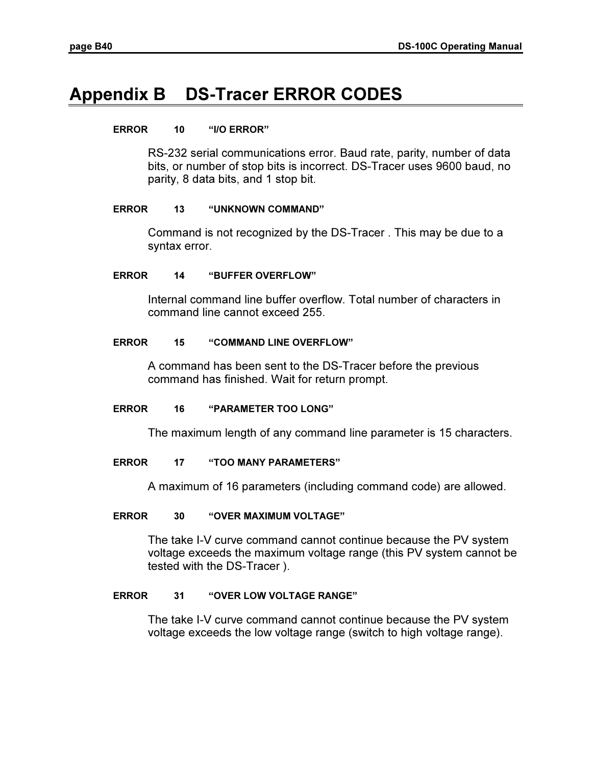## Appendix B DS-Tracer ERROR CODES

## ERROR 10 "I/O ERROR"

RS-232 serial communications error. Baud rate, parity, number of data bits, or number of stop bits is incorrect. DS-Tracer uses 9600 baud, no parity, 8 data bits, and 1 stop bit.

## ERROR 13 "UNKNOWN COMMAND"

Command is not recognized by the DS-Tracer . This may be due to a syntax error.

## ERROR 14 "BUFFER OVERFLOW"

Internal command line buffer overflow. Total number of characters in command line cannot exceed 255.

## ERROR 15 "COMMAND LINE OVERFLOW"

A command has been sent to the DS-Tracer before the previous command has finished. Wait for return prompt.

## ERROR 16 "PARAMETER TOO LONG"

The maximum length of any command line parameter is 15 characters.

## ERROR 17 "TOO MANY PARAMETERS"

A maximum of 16 parameters (including command code) are allowed.

## ERROR 30 "OVER MAXIMUM VOLTAGE"

The take I-V curve command cannot continue because the PV system voltage exceeds the maximum voltage range (this PV system cannot be tested with the DS-Tracer ).

## ERROR 31 "OVER LOW VOLTAGE RANGE"

The take I-V curve command cannot continue because the PV system voltage exceeds the low voltage range (switch to high voltage range).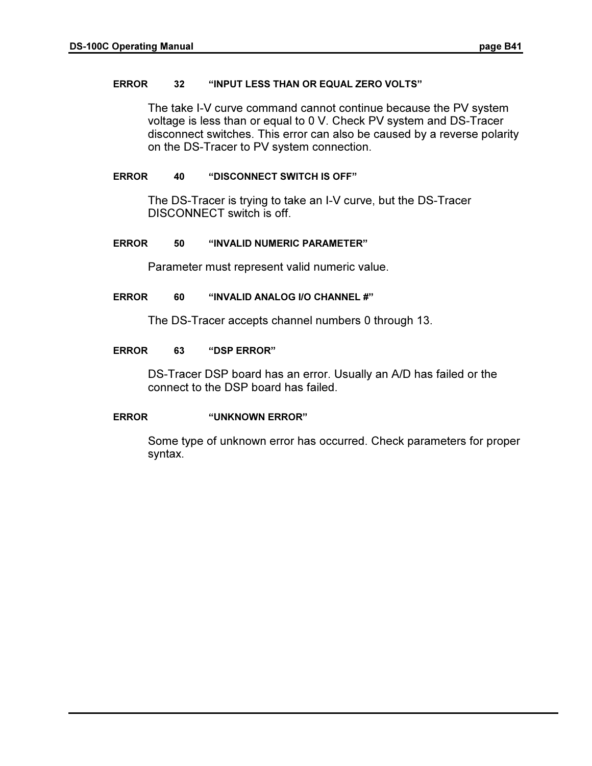#### ERROR 32 "INPUT LESS THAN OR EQUAL ZERO VOLTS"

The take I-V curve command cannot continue because the PV system voltage is less than or equal to 0 V. Check PV system and DS-Tracer disconnect switches. This error can also be caused by a reverse polarity on the DS-Tracer to PV system connection.

#### ERROR 40 "DISCONNECT SWITCH IS OFF"

The DS-Tracer is trying to take an I-V curve, but the DS-Tracer DISCONNECT switch is off.

#### ERROR 50 "INVALID NUMERIC PARAMETER"

Parameter must represent valid numeric value.

#### ERROR 60 "INVALID ANALOG I/O CHANNEL #"

The DS-Tracer accepts channel numbers 0 through 13.

#### ERROR 63 "DSP ERROR"

DS-Tracer DSP board has an error. Usually an A/D has failed or the connect to the DSP board has failed.

#### ERROR "UNKNOWN ERROR"

Some type of unknown error has occurred. Check parameters for proper syntax.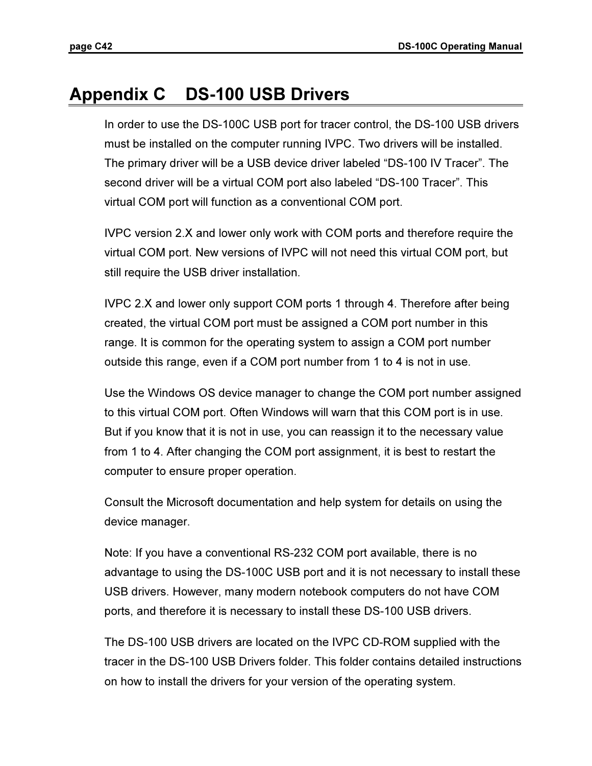## Appendix C DS-100 USB Drivers

In order to use the DS-100C USB port for tracer control, the DS-100 USB drivers must be installed on the computer running IVPC. Two drivers will be installed. The primary driver will be a USB device driver labeled "DS-100 IV Tracer". The second driver will be a virtual COM port also labeled "DS-100 Tracer". This virtual COM port will function as a conventional COM port.

IVPC version 2.X and lower only work with COM ports and therefore require the virtual COM port. New versions of IVPC will not need this virtual COM port, but still require the USB driver installation.

IVPC 2.X and lower only support COM ports 1 through 4. Therefore after being created, the virtual COM port must be assigned a COM port number in this range. It is common for the operating system to assign a COM port number outside this range, even if a COM port number from 1 to 4 is not in use.

Use the Windows OS device manager to change the COM port number assigned to this virtual COM port. Often Windows will warn that this COM port is in use. But if you know that it is not in use, you can reassign it to the necessary value from 1 to 4. After changing the COM port assignment, it is best to restart the computer to ensure proper operation.

Consult the Microsoft documentation and help system for details on using the device manager.

Note: If you have a conventional RS-232 COM port available, there is no advantage to using the DS-100C USB port and it is not necessary to install these USB drivers. However, many modern notebook computers do not have COM ports, and therefore it is necessary to install these DS-100 USB drivers.

The DS-100 USB drivers are located on the IVPC CD-ROM supplied with the tracer in the DS-100 USB Drivers folder. This folder contains detailed instructions on how to install the drivers for your version of the operating system.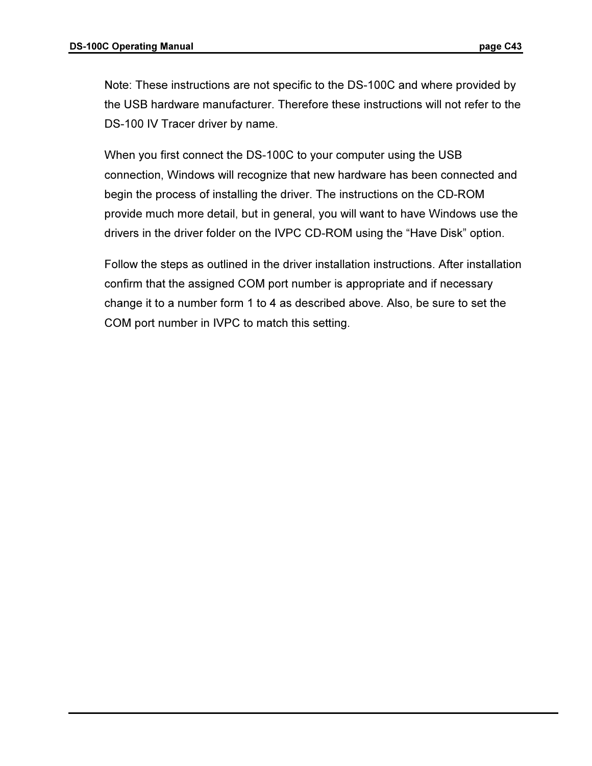Note: These instructions are not specific to the DS-100C and where provided by the USB hardware manufacturer. Therefore these instructions will not refer to the DS-100 IV Tracer driver by name.

When you first connect the DS-100C to your computer using the USB connection, Windows will recognize that new hardware has been connected and begin the process of installing the driver. The instructions on the CD-ROM provide much more detail, but in general, you will want to have Windows use the drivers in the driver folder on the IVPC CD-ROM using the "Have Disk" option.

Follow the steps as outlined in the driver installation instructions. After installation confirm that the assigned COM port number is appropriate and if necessary change it to a number form 1 to 4 as described above. Also, be sure to set the COM port number in IVPC to match this setting.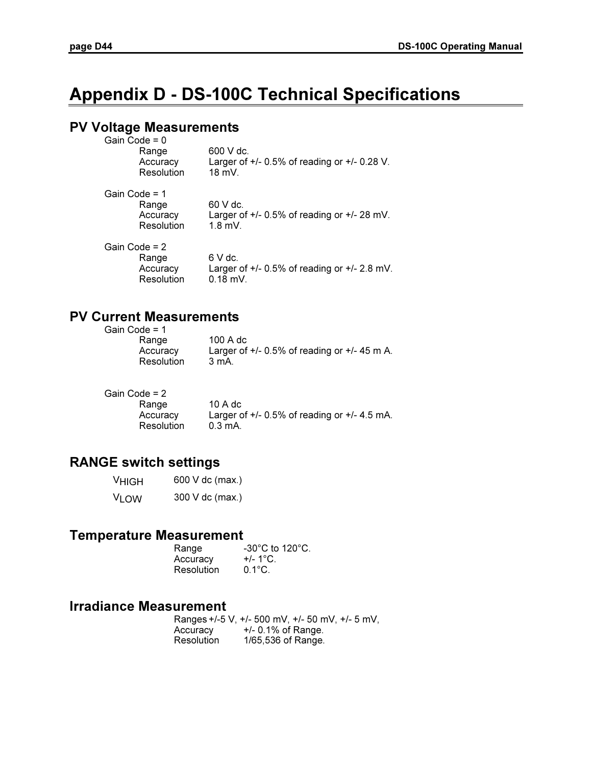## Appendix D - DS-100C Technical Specifications

## PV Voltage Measurements

| Gain Code = 0<br>Range<br>Accuracy<br>Resolution | 600 V dc.<br>Larger of $+/- 0.5\%$ of reading or $+/- 0.28$ V.<br>$18 \text{ mV}$ |
|--------------------------------------------------|-----------------------------------------------------------------------------------|
| Gain Code = 1<br>Range<br>Accuracy<br>Resolution | 60 V dc.<br>Larger of $+/- 0.5\%$ of reading or $+/- 28$ mV.<br>$1.8$ mV.         |
| Gain Code = 2<br>Range<br>Accuracy<br>Resolution | 6 V dc.<br>Larger of $+/- 0.5\%$ of reading or $+/- 2.8$ mV.<br>$0.18$ mV.        |

## PV Current Measurements

| Gain Code = 1 |        |
|---------------|--------|
| Range         | 100 A  |
| Accuracy      | Larger |
| Resolution    | 3 mA.  |

A dc ger of  $+/- 0.5\%$  of reading or  $+/- 45$  m A.

Gain Code = 2

| Range      |  |
|------------|--|
| Accuracy   |  |
| Resolution |  |

 $10 A dc$ Larger of  $+/-$  0.5% of reading or  $+/-$  4.5 mA.  $0.3$  mA.

## RANGE switch settings

| <b>VHIGH</b> | 600 V dc (max.) |
|--------------|-----------------|
| <b>VLOW</b>  | 300 V dc (max.) |

## Temperature Measurement

| Range      | $-30^{\circ}$ C to 120 $^{\circ}$ C. |
|------------|--------------------------------------|
| Accuracy   | $+/- 1^{\circ}$ C.                   |
| Resolution | $0.1^{\circ}$ C.                     |

## Irradiance Measurement

|            | Ranges +/-5 V, +/- 500 mV, +/- 50 mV, +/- 5 mV, |
|------------|-------------------------------------------------|
| Accuracy   | $+/- 0.1\%$ of Range.                           |
| Resolution | 1/65,536 of Range.                              |